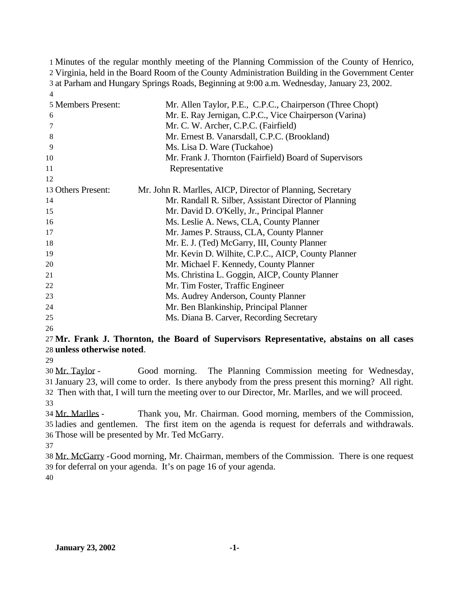Minutes of the regular monthly meeting of the Planning Commission of the County of Henrico, Virginia, held in the Board Room of the County Administration Building in the Government Center at Parham and Hungary Springs Roads, Beginning at 9:00 a.m. Wednesday, January 23, 2002. 

| 5 Members Present:<br>6<br>7<br>8 | Mr. Allen Taylor, P.E., C.P.C., Chairperson (Three Chopt)<br>Mr. E. Ray Jernigan, C.P.C., Vice Chairperson (Varina)<br>Mr. C. W. Archer, C.P.C. (Fairfield)<br>Mr. Ernest B. Vanarsdall, C.P.C. (Brookland) |
|-----------------------------------|-------------------------------------------------------------------------------------------------------------------------------------------------------------------------------------------------------------|
| 9<br>10                           | Ms. Lisa D. Ware (Tuckahoe)<br>Mr. Frank J. Thornton (Fairfield) Board of Supervisors                                                                                                                       |
| 11                                | Representative                                                                                                                                                                                              |
| 12                                |                                                                                                                                                                                                             |
| 13 Others Present:                | Mr. John R. Marlles, AICP, Director of Planning, Secretary                                                                                                                                                  |
| 14                                | Mr. Randall R. Silber, Assistant Director of Planning                                                                                                                                                       |
| 15                                | Mr. David D. O'Kelly, Jr., Principal Planner                                                                                                                                                                |
| 16                                | Ms. Leslie A. News, CLA, County Planner                                                                                                                                                                     |
| 17                                | Mr. James P. Strauss, CLA, County Planner                                                                                                                                                                   |
| 18                                | Mr. E. J. (Ted) McGarry, III, County Planner                                                                                                                                                                |
| 19                                | Mr. Kevin D. Wilhite, C.P.C., AICP, County Planner                                                                                                                                                          |
| 20                                | Mr. Michael F. Kennedy, County Planner                                                                                                                                                                      |
| 21                                | Ms. Christina L. Goggin, AICP, County Planner                                                                                                                                                               |
| 22                                | Mr. Tim Foster, Traffic Engineer                                                                                                                                                                            |
| 23                                | Ms. Audrey Anderson, County Planner                                                                                                                                                                         |
| 24                                | Mr. Ben Blankinship, Principal Planner                                                                                                                                                                      |
| 25                                | Ms. Diana B. Carver, Recording Secretary                                                                                                                                                                    |

#### **Mr. Frank J. Thornton, the Board of Supervisors Representative, abstains on all cases unless otherwise noted**.

 Mr. Taylor - Good morning. The Planning Commission meeting for Wednesday, January 23, will come to order. Is there anybody from the press present this morning? All right. Then with that, I will turn the meeting over to our Director, Mr. Marlles, and we will proceed.

 Mr. Marlles - Thank you, Mr. Chairman. Good morning, members of the Commission, ladies and gentlemen. The first item on the agenda is request for deferrals and withdrawals. Those will be presented by Mr. Ted McGarry.

 Mr. McGarry -Good morning, Mr. Chairman, members of the Commission. There is one request for deferral on your agenda. It's on page 16 of your agenda.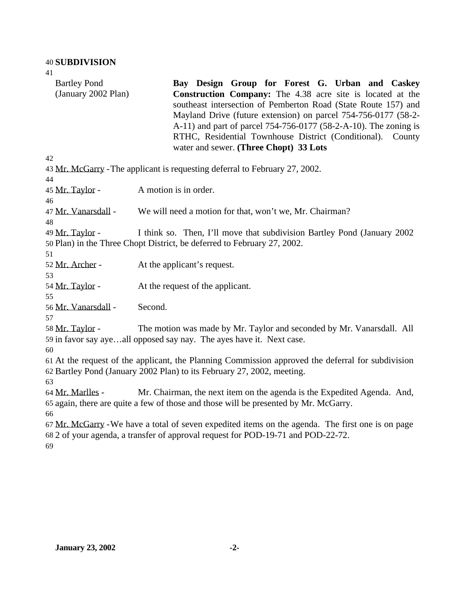Bartley Pond (January 2002 Plan) **Bay Design Group for Forest G. Urban and Caskey Construction Company:** The 4.38 acre site is located at the southeast intersection of Pemberton Road (State Route 157) and Mayland Drive (future extension) on parcel 754-756-0177 (58-2- A-11) and part of parcel 754-756-0177 (58-2-A-10). The zoning is RTHC, Residential Townhouse District (Conditional). County water and sewer. **(Three Chopt) 33 Lots** Mr. McGarry -The applicant is requesting deferral to February 27, 2002. Mr. Taylor - A motion is in order. Mr. Vanarsdall - We will need a motion for that, won't we, Mr. Chairman? Mr. Taylor - I think so. Then, I'll move that subdivision Bartley Pond (January 2002 Plan) in the Three Chopt District, be deferred to February 27, 2002. 52 Mr. Archer - At the applicant's request. Mr. Taylor - At the request of the applicant. Mr. Vanarsdall - Second. Mr. Taylor - The motion was made by Mr. Taylor and seconded by Mr. Vanarsdall. All in favor say aye…all opposed say nay. The ayes have it. Next case. At the request of the applicant, the Planning Commission approved the deferral for subdivision Bartley Pond (January 2002 Plan) to its February 27, 2002, meeting. Mr. Marlles - Mr. Chairman, the next item on the agenda is the Expedited Agenda. And, again, there are quite a few of those and those will be presented by Mr. McGarry. Mr. McGarry -We have a total of seven expedited items on the agenda. The first one is on page 2 of your agenda, a transfer of approval request for POD-19-71 and POD-22-72.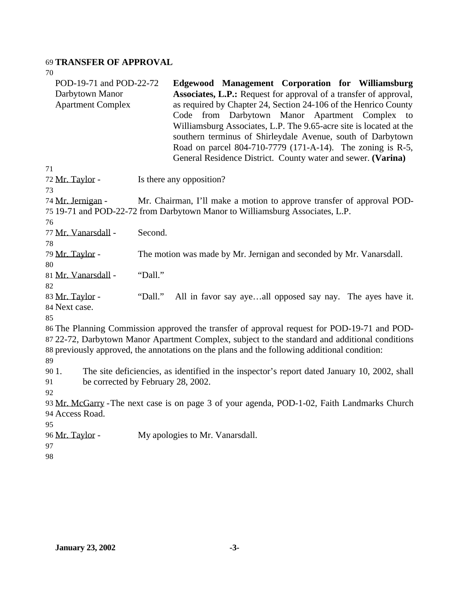## 69 **TRANSFER OF APPROVAL**

| 70                                                                     |         |                                                                                                                                                                                                                                                                                                                                                                                                                                                                                                                         |
|------------------------------------------------------------------------|---------|-------------------------------------------------------------------------------------------------------------------------------------------------------------------------------------------------------------------------------------------------------------------------------------------------------------------------------------------------------------------------------------------------------------------------------------------------------------------------------------------------------------------------|
| POD-19-71 and POD-22-72<br>Darbytown Manor<br><b>Apartment Complex</b> |         | Edgewood Management Corporation for Williamsburg<br><b>Associates, L.P.:</b> Request for approval of a transfer of approval,<br>as required by Chapter 24, Section 24-106 of the Henrico County<br>Code from Darbytown Manor Apartment Complex<br>to<br>Williamsburg Associates, L.P. The 9.65-acre site is located at the<br>southern terminus of Shirleydale Avenue, south of Darbytown<br>Road on parcel 804-710-7779 (171-A-14). The zoning is R-5,<br>General Residence District. County water and sewer. (Varina) |
| 71                                                                     |         |                                                                                                                                                                                                                                                                                                                                                                                                                                                                                                                         |
| 72 Mr. Taylor -                                                        |         | Is there any opposition?                                                                                                                                                                                                                                                                                                                                                                                                                                                                                                |
| 73                                                                     |         |                                                                                                                                                                                                                                                                                                                                                                                                                                                                                                                         |
| 74 Mr. Jernigan -                                                      |         | Mr. Chairman, I'll make a motion to approve transfer of approval POD-                                                                                                                                                                                                                                                                                                                                                                                                                                                   |
|                                                                        |         | 75 19-71 and POD-22-72 from Darbytown Manor to Williamsburg Associates, L.P.                                                                                                                                                                                                                                                                                                                                                                                                                                            |
| 76                                                                     |         |                                                                                                                                                                                                                                                                                                                                                                                                                                                                                                                         |
| 77 Mr. Vanarsdall -                                                    | Second. |                                                                                                                                                                                                                                                                                                                                                                                                                                                                                                                         |
| 78                                                                     |         |                                                                                                                                                                                                                                                                                                                                                                                                                                                                                                                         |
| 79 Mr. Taylor -                                                        |         | The motion was made by Mr. Jernigan and seconded by Mr. Vanarsdall.                                                                                                                                                                                                                                                                                                                                                                                                                                                     |
| 80                                                                     |         |                                                                                                                                                                                                                                                                                                                                                                                                                                                                                                                         |
| 81 Mr. Vanarsdall -                                                    | "Dall." |                                                                                                                                                                                                                                                                                                                                                                                                                                                                                                                         |
| 82                                                                     |         |                                                                                                                                                                                                                                                                                                                                                                                                                                                                                                                         |
| 83 Mr. Taylor -                                                        | "Dall." | All in favor say ayeall opposed say nay. The ayes have it.                                                                                                                                                                                                                                                                                                                                                                                                                                                              |
| 84 Next case.                                                          |         |                                                                                                                                                                                                                                                                                                                                                                                                                                                                                                                         |
| 85                                                                     |         |                                                                                                                                                                                                                                                                                                                                                                                                                                                                                                                         |
|                                                                        |         | 86 The Planning Commission approved the transfer of approval request for POD-19-71 and POD-                                                                                                                                                                                                                                                                                                                                                                                                                             |
|                                                                        |         | 87 22-72, Darbytown Manor Apartment Complex, subject to the standard and additional conditions                                                                                                                                                                                                                                                                                                                                                                                                                          |
|                                                                        |         | 88 previously approved, the annotations on the plans and the following additional condition:                                                                                                                                                                                                                                                                                                                                                                                                                            |
| 89                                                                     |         |                                                                                                                                                                                                                                                                                                                                                                                                                                                                                                                         |
| 90 1.                                                                  |         | The site deficiencies, as identified in the inspector's report dated January 10, 2002, shall                                                                                                                                                                                                                                                                                                                                                                                                                            |
| be corrected by February 28, 2002.<br>91                               |         |                                                                                                                                                                                                                                                                                                                                                                                                                                                                                                                         |
| 92                                                                     |         |                                                                                                                                                                                                                                                                                                                                                                                                                                                                                                                         |
|                                                                        |         | 93 Mr. McGarry - The next case is on page 3 of your agenda, POD-1-02, Faith Landmarks Church                                                                                                                                                                                                                                                                                                                                                                                                                            |
| 94 Access Road.                                                        |         |                                                                                                                                                                                                                                                                                                                                                                                                                                                                                                                         |
| 95                                                                     |         |                                                                                                                                                                                                                                                                                                                                                                                                                                                                                                                         |
| 96 Mr. Taylor -                                                        |         | My apologies to Mr. Vanarsdall.                                                                                                                                                                                                                                                                                                                                                                                                                                                                                         |
| 97                                                                     |         |                                                                                                                                                                                                                                                                                                                                                                                                                                                                                                                         |
| 98                                                                     |         |                                                                                                                                                                                                                                                                                                                                                                                                                                                                                                                         |
|                                                                        |         |                                                                                                                                                                                                                                                                                                                                                                                                                                                                                                                         |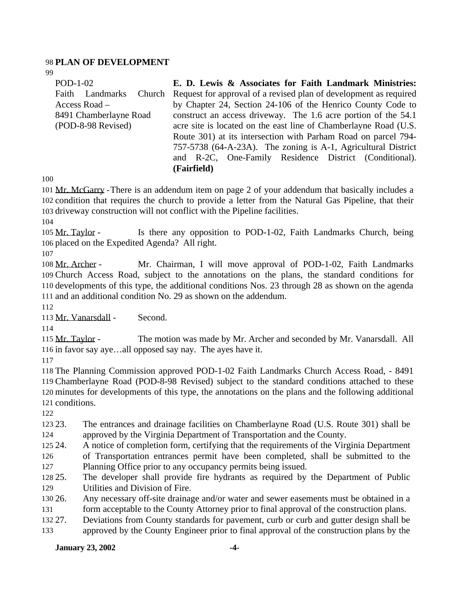### **PLAN OF DEVELOPMENT**

| POD-1-02               | E. D. Lewis & Associates for Faith Landmark Ministries:                  |
|------------------------|--------------------------------------------------------------------------|
| Faith Landmarks        | Church Request for approval of a revised plan of development as required |
| Access Road $-$        | by Chapter 24, Section 24-106 of the Henrico County Code to              |
| 8491 Chamberlayne Road | construct an access driveway. The 1.6 acre portion of the 54.1           |
| (POD-8-98 Revised)     | acre site is located on the east line of Chamberlayne Road (U.S.         |
|                        | Route 301) at its intersection with Parham Road on parcel 794-           |
|                        | 757-5738 (64-A-23A). The zoning is A-1, Agricultural District            |
|                        | and R-2C, One-Family Residence District (Conditional).                   |

 Mr. McGarry -There is an addendum item on page 2 of your addendum that basically includes a condition that requires the church to provide a letter from the Natural Gas Pipeline, that their driveway construction will not conflict with the Pipeline facilities.

**(Fairfield)**

 Mr. Taylor - Is there any opposition to POD-1-02, Faith Landmarks Church, being placed on the Expedited Agenda? All right.

 Mr. Archer - Mr. Chairman, I will move approval of POD-1-02, Faith Landmarks Church Access Road, subject to the annotations on the plans, the standard conditions for developments of this type, the additional conditions Nos. 23 through 28 as shown on the agenda and an additional condition No. 29 as shown on the addendum.

Mr. Vanarsdall - Second.

115 Mr. Taylor - The motion was made by Mr. Archer and seconded by Mr. Vanarsdall. All in favor say aye…all opposed say nay. The ayes have it.

 The Planning Commission approved POD-1-02 Faith Landmarks Church Access Road, - 8491 Chamberlayne Road (POD-8-98 Revised) subject to the standard conditions attached to these minutes for developments of this type, the annotations on the plans and the following additional conditions.

 23. The entrances and drainage facilities on Chamberlayne Road (U.S. Route 301) shall be approved by the Virginia Department of Transportation and the County.

24. A notice of completion form, certifying that the requirements of the Virginia Department

of Transportation entrances permit have been completed, shall be submitted to the

Planning Office prior to any occupancy permits being issued.

 25. The developer shall provide fire hydrants as required by the Department of Public Utilities and Division of Fire.

- 26. Any necessary off-site drainage and/or water and sewer easements must be obtained in a
- form acceptable to the County Attorney prior to final approval of the construction plans.
- 27. Deviations from County standards for pavement, curb or curb and gutter design shall be approved by the County Engineer prior to final approval of the construction plans by the

## **January 23, 2002 -4-**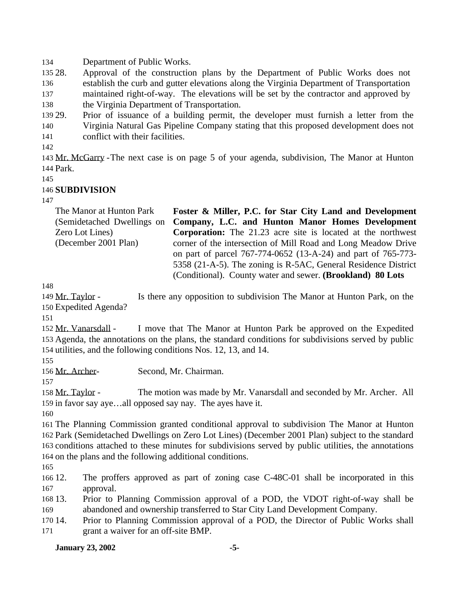Department of Public Works.

 28. Approval of the construction plans by the Department of Public Works does not establish the curb and gutter elevations along the Virginia Department of Transportation maintained right-of-way. The elevations will be set by the contractor and approved by the Virginia Department of Transportation.

 29. Prior of issuance of a building permit, the developer must furnish a letter from the Virginia Natural Gas Pipeline Company stating that this proposed development does not conflict with their facilities.

 Mr. McGarry -The next case is on page 5 of your agenda, subdivision, The Manor at Hunton Park.

## **SUBDIVISION**

| The Manor at Hunton Park   | Foster & Miller, P.C. for Star City Land and Development            |
|----------------------------|---------------------------------------------------------------------|
| (Semidetached Dwellings on | Company, L.C. and Hunton Manor Homes Development                    |
| Zero Lot Lines)            | <b>Corporation:</b> The 21.23 acre site is located at the northwest |
| (December 2001 Plan)       | corner of the intersection of Mill Road and Long Meadow Drive       |
|                            | on part of parcel 767-774-0652 (13-A-24) and part of 765-773-       |
|                            | 5358 (21-A-5). The zoning is R-5AC, General Residence District      |
|                            | (Conditional). County water and sewer. (Brookland) 80 Lots          |

149 Mr. Taylor - Is there any opposition to subdivision The Manor at Hunton Park, on the Expedited Agenda?

 Mr. Vanarsdall - I move that The Manor at Hunton Park be approved on the Expedited Agenda, the annotations on the plans, the standard conditions for subdivisions served by public utilities, and the following conditions Nos. 12, 13, and 14.

Mr. Archer- Second, Mr. Chairman.

158 Mr. Taylor - The motion was made by Mr. Vanarsdall and seconded by Mr. Archer. All in favor say aye…all opposed say nay. The ayes have it.

 The Planning Commission granted conditional approval to subdivision The Manor at Hunton Park (Semidetached Dwellings on Zero Lot Lines) (December 2001 Plan) subject to the standard conditions attached to these minutes for subdivisions served by public utilities, the annotations on the plans and the following additional conditions.

 12. The proffers approved as part of zoning case C-48C-01 shall be incorporated in this approval.

 13. Prior to Planning Commission approval of a POD, the VDOT right-of-way shall be abandoned and ownership transferred to Star City Land Development Company.

 14. Prior to Planning Commission approval of a POD, the Director of Public Works shall grant a waiver for an off-site BMP.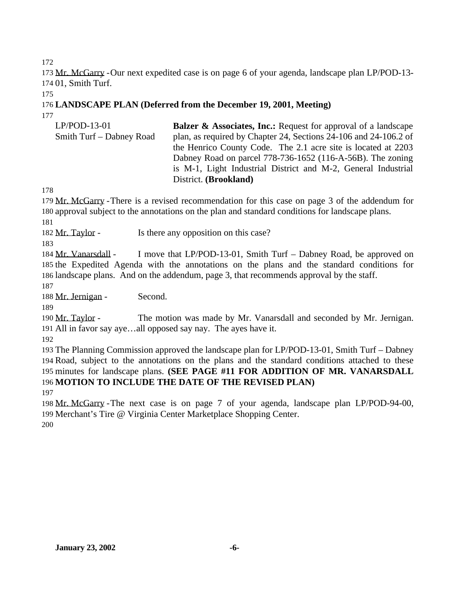Mr. McGarry -Our next expedited case is on page 6 of your agenda, landscape plan LP/POD-13- 01, Smith Turf.

### **LANDSCAPE PLAN (Deferred from the December 19, 2001, Meeting)**

| $LP/POD-13-01$           | <b>Balzer &amp; Associates, Inc.:</b> Request for approval of a landscape |
|--------------------------|---------------------------------------------------------------------------|
| Smith Turf – Dabney Road | plan, as required by Chapter 24, Sections 24-106 and 24-106.2 of          |
|                          | the Henrico County Code. The 2.1 acre site is located at 2203             |
|                          | Dabney Road on parcel 778-736-1652 (116-A-56B). The zoning                |
|                          | is M-1, Light Industrial District and M-2, General Industrial             |
|                          | District. (Brookland)                                                     |

 Mr. McGarry -There is a revised recommendation for this case on page 3 of the addendum for approval subject to the annotations on the plan and standard conditions for landscape plans.

182 Mr. Taylor - Is there any opposition on this case?

184 Mr. Vanarsdall - I move that LP/POD-13-01, Smith Turf – Dabney Road, be approved on the Expedited Agenda with the annotations on the plans and the standard conditions for landscape plans. And on the addendum, page 3, that recommends approval by the staff.

188 Mr. Jernigan - Second.

190 Mr. Taylor - The motion was made by Mr. Vanarsdall and seconded by Mr. Jernigan. All in favor say aye…all opposed say nay. The ayes have it.

 The Planning Commission approved the landscape plan for LP/POD-13-01, Smith Turf – Dabney Road, subject to the annotations on the plans and the standard conditions attached to these minutes for landscape plans. **(SEE PAGE #11 FOR ADDITION OF MR. VANARSDALL MOTION TO INCLUDE THE DATE OF THE REVISED PLAN)**

 Mr. McGarry -The next case is on page 7 of your agenda, landscape plan LP/POD-94-00, Merchant's Tire @ Virginia Center Marketplace Shopping Center.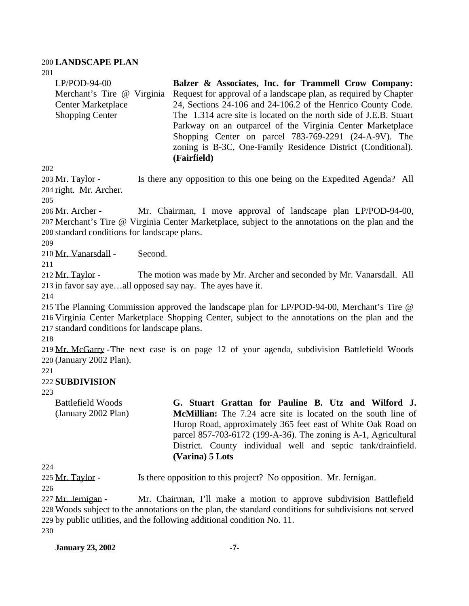#### 200 **LANDSCAPE PLAN**

201

| $LP/POD-94-00$             | Balzer & Associates, Inc. for Trammell Crow Company:              |
|----------------------------|-------------------------------------------------------------------|
| Merchant's Tire @ Virginia | Request for approval of a landscape plan, as required by Chapter  |
| <b>Center Marketplace</b>  | 24, Sections 24-106 and 24-106.2 of the Henrico County Code.      |
| <b>Shopping Center</b>     | The 1.314 acre site is located on the north side of J.E.B. Stuart |
|                            | Parkway on an outparcel of the Virginia Center Marketplace        |
|                            | Shopping Center on parcel 783-769-2291 (24-A-9V). The             |
|                            | zoning is B-3C, One-Family Residence District (Conditional).      |
|                            | (Fairfield)                                                       |

202

203 Mr. Taylor - Is there any opposition to this one being on the Expedited Agenda? All 204 right. Mr. Archer.

205

206 Mr. Archer - Mr. Chairman, I move approval of landscape plan LP/POD-94-00, 207 Merchant's Tire @ Virginia Center Marketplace, subject to the annotations on the plan and the 208 standard conditions for landscape plans.

209

210 Mr. Vanarsdall - Second.

211

212 Mr. Taylor - The motion was made by Mr. Archer and seconded by Mr. Vanarsdall. All 213 in favor say aye…all opposed say nay. The ayes have it.

214

215 The Planning Commission approved the landscape plan for LP/POD-94-00, Merchant's Tire @ 216 Virginia Center Marketplace Shopping Center, subject to the annotations on the plan and the 217 standard conditions for landscape plans.

218

219 Mr. McGarry -The next case is on page 12 of your agenda, subdivision Battlefield Woods 220 (January 2002 Plan).

221

### 222 **SUBDIVISION**

223

Battlefield Woods (January 2002 Plan) **G. Stuart Grattan for Pauline B. Utz and Wilford J. McMillian:** The 7.24 acre site is located on the south line of Hurop Road, approximately 365 feet east of White Oak Road on parcel 857-703-6172 (199-A-36). The zoning is A-1, Agricultural District. County individual well and septic tank/drainfield. **(Varina) 5 Lots**

224

225 Mr. Taylor - Is there opposition to this project? No opposition. Mr. Jernigan.

226

 Mr. Jernigan - Mr. Chairman, I'll make a motion to approve subdivision Battlefield Woods subject to the annotations on the plan, the standard conditions for subdivisions not served by public utilities, and the following additional condition No. 11. 230

**January 23, 2002 -7-**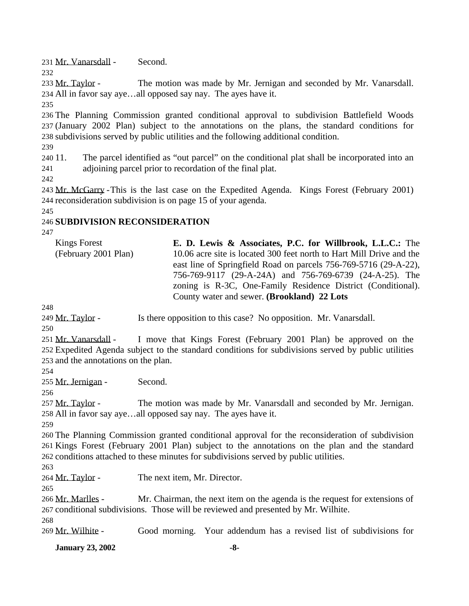Mr. Vanarsdall - Second.

 Mr. Taylor - The motion was made by Mr. Jernigan and seconded by Mr. Vanarsdall. All in favor say aye…all opposed say nay. The ayes have it.

 The Planning Commission granted conditional approval to subdivision Battlefield Woods (January 2002 Plan) subject to the annotations on the plans, the standard conditions for subdivisions served by public utilities and the following additional condition.

 11. The parcel identified as "out parcel" on the conditional plat shall be incorporated into an adjoining parcel prior to recordation of the final plat.

 Mr. McGarry -This is the last case on the Expedited Agenda. Kings Forest (February 2001) reconsideration subdivision is on page 15 of your agenda.

## **SUBDIVISION RECONSIDERATION**

Kings Forest (February 2001 Plan) **E. D. Lewis & Associates, P.C. for Willbrook, L.L.C.:** The 10.06 acre site is located 300 feet north to Hart Mill Drive and the east line of Springfield Road on parcels 756-769-5716 (29-A-22), 756-769-9117 (29-A-24A) and 756-769-6739 (24-A-25). The zoning is R-3C, One-Family Residence District (Conditional). County water and sewer. **(Brookland) 22 Lots**

249 Mr. Taylor - Is there opposition to this case? No opposition. Mr. Vanarsdall.

 Mr. Vanarsdall - I move that Kings Forest (February 2001 Plan) be approved on the Expedited Agenda subject to the standard conditions for subdivisions served by public utilities and the annotations on the plan.

Mr. Jernigan - Second.

257 Mr. Taylor - The motion was made by Mr. Vanarsdall and seconded by Mr. Jernigan. All in favor say aye…all opposed say nay. The ayes have it.

 The Planning Commission granted conditional approval for the reconsideration of subdivision Kings Forest (February 2001 Plan) subject to the annotations on the plan and the standard conditions attached to these minutes for subdivisions served by public utilities.

Mr. Taylor - The next item, Mr. Director.

266 Mr. Marlles - Mr. Chairman, the next item on the agenda is the request for extensions of conditional subdivisions. Those will be reviewed and presented by Mr. Wilhite.

Mr. Wilhite - Good morning. Your addendum has a revised list of subdivisions for

**January 23, 2002 -8-**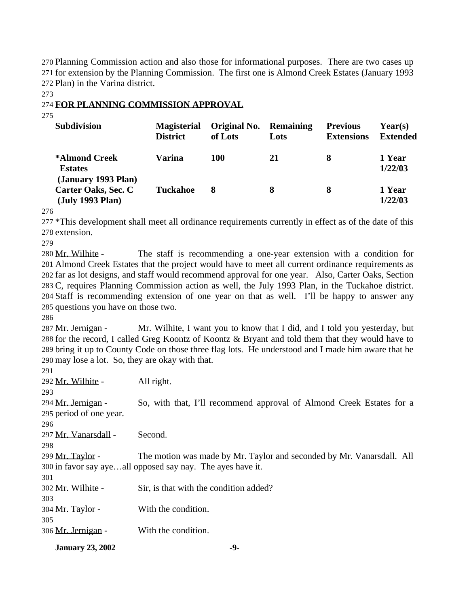Planning Commission action and also those for informational purposes. There are two cases up for extension by the Planning Commission. The first one is Almond Creek Estates (January 1993 Plan) in the Varina district.

#### **FOR PLANNING COMMISSION APPROVAL**

| <b>Subdivision</b>                                     | <b>Magisterial</b><br><b>District</b> | Original No.<br>of Lots | <b>Remaining</b><br>Lots | <b>Previous</b><br><b>Extensions</b> | Year(s)<br><b>Extended</b> |
|--------------------------------------------------------|---------------------------------------|-------------------------|--------------------------|--------------------------------------|----------------------------|
| *Almond Creek<br><b>Estates</b><br>(January 1993 Plan) | Varina                                | <b>100</b>              | 21                       | 8                                    | 1 Year<br>1/22/03          |
| Carter Oaks, Sec. C<br>(July 1993 Plan)                | <b>Tuckahoe</b>                       | 8                       | 8                        | 8                                    | 1 Year<br>1/22/03          |

 \*This development shall meet all ordinance requirements currently in effect as of the date of this extension.

 Mr. Wilhite - The staff is recommending a one-year extension with a condition for Almond Creek Estates that the project would have to meet all current ordinance requirements as far as lot designs, and staff would recommend approval for one year. Also, Carter Oaks, Section C, requires Planning Commission action as well, the July 1993 Plan, in the Tuckahoe district. Staff is recommending extension of one year on that as well. I'll be happy to answer any questions you have on those two.

287 Mr. Jernigan - Mr. Wilhite, I want you to know that I did, and I told you yesterday, but for the record, I called Greg Koontz of Koontz & Bryant and told them that they would have to bring it up to County Code on those three flag lots. He understood and I made him aware that he may lose a lot. So, they are okay with that.

| 306 Mr. Jernigan -      | With the condition.                                                   |
|-------------------------|-----------------------------------------------------------------------|
| 305                     |                                                                       |
| 304 <u>Mr. Taylor</u> - | With the condition.                                                   |
| 303                     |                                                                       |
| 302 Mr. Wilhite -       | Sir, is that with the condition added?                                |
| 301                     |                                                                       |
|                         | 300 in favor say ayeall opposed say nay. The ayes have it.            |
| 299 Mr. Taylor -        | The motion was made by Mr. Taylor and seconded by Mr. Vanarsdall. All |
| 298                     |                                                                       |
| 297 Mr. Vanarsdall -    | Second.                                                               |
| 296                     |                                                                       |
| 295 period of one year. |                                                                       |
| 294 Mr. Jernigan -      | So, with that, I'll recommend approval of Almond Creek Estates for a  |
| 293                     |                                                                       |
| 292 Mr. Wilhite -       | All right.                                                            |
| 29 I                    |                                                                       |

**January 23, 2002** -9-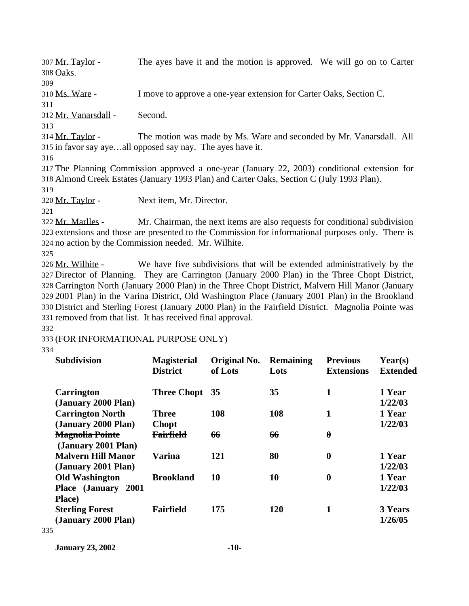Mr. Taylor - The ayes have it and the motion is approved. We will go on to Carter 308 Oaks. 309 Ms. Ware - I move to approve a one-year extension for Carter Oaks, Section C. 311 Mr. Vanarsdall - Second. 313 Mr. Taylor - The motion was made by Ms. Ware and seconded by Mr. Vanarsdall. All in favor say aye…all opposed say nay. The ayes have it. 316 The Planning Commission approved a one-year (January 22, 2003) conditional extension for Almond Creek Estates (January 1993 Plan) and Carter Oaks, Section C (July 1993 Plan). 319 Mr. Taylor - Next item, Mr. Director. 321 Mr. Marlles - Mr. Chairman, the next items are also requests for conditional subdivision extensions and those are presented to the Commission for informational purposes only. There is no action by the Commission needed. Mr. Wilhite. 325 Mr. Wilhite - We have five subdivisions that will be extended administratively by the Director of Planning. They are Carrington (January 2000 Plan) in the Three Chopt District,

 Carrington North (January 2000 Plan) in the Three Chopt District, Malvern Hill Manor (January 2001 Plan) in the Varina District, Old Washington Place (January 2001 Plan) in the Brookland District and Sterling Forest (January 2000 Plan) in the Fairfield District. Magnolia Pointe was removed from that list. It has received final approval.

332

333 (FOR INFORMATIONAL PURPOSE ONLY)

334

| <b>Subdivision</b>                                            | <b>Magisterial</b><br><b>District</b> | Original No.<br>of Lots | <b>Remaining</b><br>Lots | <b>Previous</b><br><b>Extensions</b> | Year(s)<br><b>Extended</b> |
|---------------------------------------------------------------|---------------------------------------|-------------------------|--------------------------|--------------------------------------|----------------------------|
| <b>Carrington</b><br>(January 2000 Plan)                      | <b>Three Chopt</b>                    | 35                      | 35                       | 1                                    | 1 Year<br>1/22/03          |
| <b>Carrington North</b><br>(January 2000 Plan)                | Three<br><b>Chopt</b>                 | 108                     | 108                      | 1                                    | 1 Year<br>1/22/03          |
| <b>Magnolia Pointe</b><br>$\frac{1}{2001}$ Plan               | <b>Fairfield</b>                      | 66                      | 66                       | $\boldsymbol{\theta}$                |                            |
| <b>Malvern Hill Manor</b><br>(January 2001 Plan)              | <b>Varina</b>                         | 121                     | 80                       | $\bf{0}$                             | 1 Year<br>1/22/03          |
| <b>Old Washington</b><br>Place (January 2001)                 | <b>Brookland</b>                      | 10                      | 10                       | $\boldsymbol{0}$                     | 1 Year<br>1/22/03          |
| Place)<br><b>Sterling Forest</b><br>(January 2000 Plan)<br>E. | Fairfield                             | 175                     | <b>120</b>               | 1                                    | 3 Years<br>1/26/05         |

335

**January 23, 2002 -10-**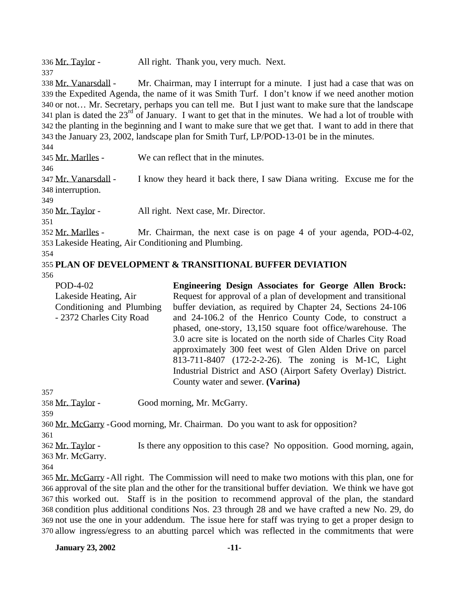| 336 Mr. Taylor -                                     | All right. Thank you, very much. Next.                                                                                                                                                              |
|------------------------------------------------------|-----------------------------------------------------------------------------------------------------------------------------------------------------------------------------------------------------|
| 337                                                  |                                                                                                                                                                                                     |
| 338 Mr. Vanarsdall -                                 | Mr. Chairman, may I interrupt for a minute. I just had a case that was on                                                                                                                           |
|                                                      | 339 the Expedited Agenda, the name of it was Smith Turf. I don't know if we need another motion                                                                                                     |
|                                                      | 340 or not Mr. Secretary, perhaps you can tell me. But I just want to make sure that the landscape                                                                                                  |
|                                                      | 341 plan is dated the $23rd$ of January. I want to get that in the minutes. We had a lot of trouble with                                                                                            |
|                                                      | 342 the planting in the beginning and I want to make sure that we get that. I want to add in there that<br>343 the January 23, 2002, landscape plan for Smith Turf, LP/POD-13-01 be in the minutes. |
| 344                                                  |                                                                                                                                                                                                     |
| 345 Mr. Marlles -                                    | We can reflect that in the minutes.                                                                                                                                                                 |
| 346                                                  |                                                                                                                                                                                                     |
| 347 Mr. Vanarsdall -<br>348 interruption.<br>349     | I know they heard it back there, I saw Diana writing. Excuse me for the                                                                                                                             |
| 350 Mr. Taylor -                                     | All right. Next case, Mr. Director.                                                                                                                                                                 |
| 351                                                  |                                                                                                                                                                                                     |
| 352 Mr. Marlles -                                    | Mr. Chairman, the next case is on page 4 of your agenda, POD-4-02,                                                                                                                                  |
| 353 Lakeside Heating, Air Conditioning and Plumbing. |                                                                                                                                                                                                     |
| 354                                                  |                                                                                                                                                                                                     |
|                                                      | <b>355 PLAN OF DEVELOPMENT &amp; TRANSITIONAL BUFFER DEVIATION</b>                                                                                                                                  |
| 356                                                  |                                                                                                                                                                                                     |
| POD-4-02                                             | <b>Engineering Design Associates for George Allen Brock:</b>                                                                                                                                        |
| Lakeside Heating, Air                                | Request for approval of a plan of development and transitional                                                                                                                                      |
| Conditioning and Plumbing                            | buffer deviation, as required by Chapter 24, Sections 24-106                                                                                                                                        |
| - 2372 Charles City Road                             | and 24-106.2 of the Henrico County Code, to construct a                                                                                                                                             |
|                                                      | phased, one-story, 13,150 square foot office/warehouse. The                                                                                                                                         |
|                                                      | 3.0 acre site is located on the north side of Charles City Road                                                                                                                                     |
|                                                      | approximately 300 feet west of Glen Alden Drive on parcel                                                                                                                                           |
|                                                      | 813-711-8407 (172-2-2-26). The zoning is M-1C, Light                                                                                                                                                |
|                                                      | Industrial District and ASO (Airport Safety Overlay) District.                                                                                                                                      |
|                                                      | County water and sewer. (Varina)                                                                                                                                                                    |
| 357                                                  |                                                                                                                                                                                                     |
| 358 Mr. Taylor -<br>359                              | Good morning, Mr. McGarry.                                                                                                                                                                          |
|                                                      | 360 Mr. McGarry - Good morning, Mr. Chairman. Do you want to ask for opposition?                                                                                                                    |
| 361                                                  |                                                                                                                                                                                                     |
| 362 Mr. Taylor -                                     | Is there any opposition to this case? No opposition. Good morning, again,                                                                                                                           |
| 363 Mr. McGarry.                                     |                                                                                                                                                                                                     |
| 364                                                  |                                                                                                                                                                                                     |
|                                                      | 365 Mr. McGarry - All right. The Commission will need to make two motions with this plan, one for                                                                                                   |
|                                                      | 366 approval of the site plan and the other for the transitional buffer deviation. We think we have got                                                                                             |
|                                                      | 367 this worked out. Staff is in the position to recommend approval of the plan, the standard                                                                                                       |
|                                                      | 368 condition plus additional conditions Nos. 23 through 28 and we have crafted a new No. 29, do                                                                                                    |
|                                                      | 369 not use the one in your addendum. The issue here for staff was trying to get a proper design to                                                                                                 |
|                                                      | 370 allow ingress/egress to an abutting parcel which was reflected in the commitments that were                                                                                                     |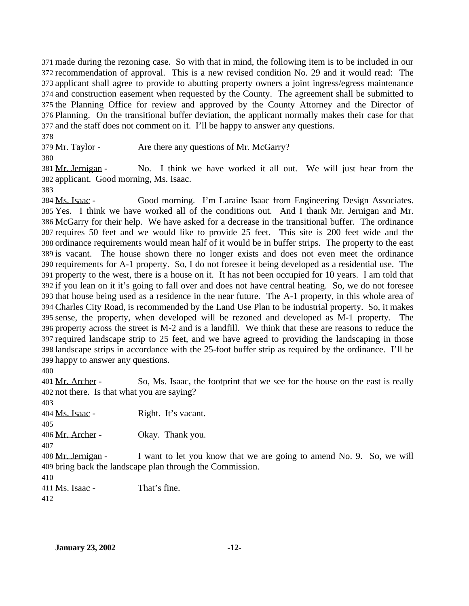made during the rezoning case. So with that in mind, the following item is to be included in our recommendation of approval. This is a new revised condition No. 29 and it would read: The applicant shall agree to provide to abutting property owners a joint ingress/egress maintenance and construction easement when requested by the County. The agreement shall be submitted to the Planning Office for review and approved by the County Attorney and the Director of Planning. On the transitional buffer deviation, the applicant normally makes their case for that and the staff does not comment on it. I'll be happy to answer any questions.

379 Mr. Taylor - Are there any questions of Mr. McGarry?

 Mr. Jernigan - No. I think we have worked it all out. We will just hear from the applicant. Good morning, Ms. Isaac.

 Ms. Isaac - Good morning. I'm Laraine Isaac from Engineering Design Associates. Yes. I think we have worked all of the conditions out. And I thank Mr. Jernigan and Mr. McGarry for their help. We have asked for a decrease in the transitional buffer. The ordinance requires 50 feet and we would like to provide 25 feet. This site is 200 feet wide and the ordinance requirements would mean half of it would be in buffer strips. The property to the east is vacant. The house shown there no longer exists and does not even meet the ordinance requirements for A-1 property. So, I do not foresee it being developed as a residential use. The property to the west, there is a house on it. It has not been occupied for 10 years. I am told that if you lean on it it's going to fall over and does not have central heating. So, we do not foresee that house being used as a residence in the near future. The A-1 property, in this whole area of Charles City Road, is recommended by the Land Use Plan to be industrial property. So, it makes sense, the property, when developed will be rezoned and developed as M-1 property. The property across the street is M-2 and is a landfill. We think that these are reasons to reduce the required landscape strip to 25 feet, and we have agreed to providing the landscaping in those landscape strips in accordance with the 25-foot buffer strip as required by the ordinance. I'll be happy to answer any questions.

401 Mr. Archer - So, Ms. Isaac, the footprint that we see for the house on the east is really not there. Is that what you are saying?

 Ms. Isaac - Right. It's vacant. 406 Mr. Archer - Okay. Thank you. Mr. Jernigan - I want to let you know that we are going to amend No. 9. So, we will bring back the landscape plan through the Commission. Ms. Isaac - That's fine.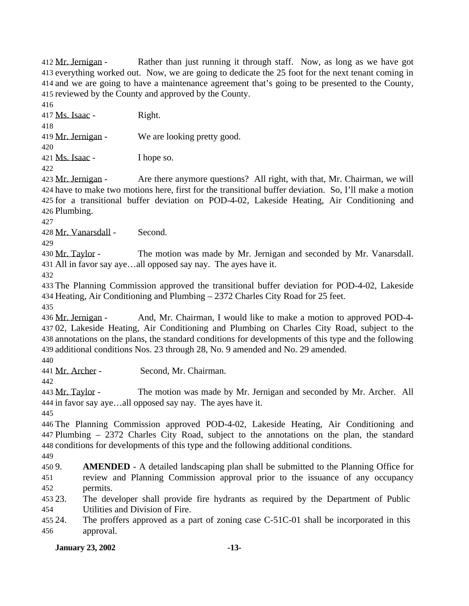Mr. Jernigan - Rather than just running it through staff. Now, as long as we have got everything worked out. Now, we are going to dedicate the 25 foot for the next tenant coming in and we are going to have a maintenance agreement that's going to be presented to the County, reviewed by the County and approved by the County.

Ms. Isaac - Right.

419 Mr. Jernigan - We are looking pretty good.

Ms. Isaac - I hope so.

423 Mr. Jernigan - Are there anymore questions? All right, with that, Mr. Chairman, we will have to make two motions here, first for the transitional buffer deviation. So, I'll make a motion for a transitional buffer deviation on POD-4-02, Lakeside Heating, Air Conditioning and Plumbing.

Mr. Vanarsdall - Second.

 Mr. Taylor - The motion was made by Mr. Jernigan and seconded by Mr. Vanarsdall. All in favor say aye…all opposed say nay. The ayes have it.

 The Planning Commission approved the transitional buffer deviation for POD-4-02, Lakeside Heating, Air Conditioning and Plumbing – 2372 Charles City Road for 25 feet.

 Mr. Jernigan - And, Mr. Chairman, I would like to make a motion to approved POD-4- 02, Lakeside Heating, Air Conditioning and Plumbing on Charles City Road, subject to the annotations on the plans, the standard conditions for developments of this type and the following additional conditions Nos. 23 through 28, No. 9 amended and No. 29 amended.

Mr. Archer - Second, Mr. Chairman.

 Mr. Taylor - The motion was made by Mr. Jernigan and seconded by Mr. Archer. All in favor say aye…all opposed say nay. The ayes have it.

 The Planning Commission approved POD-4-02, Lakeside Heating, Air Conditioning and Plumbing – 2372 Charles City Road, subject to the annotations on the plan, the standard conditions for developments of this type and the following additional conditions.

 9. **AMENDED** - A detailed landscaping plan shall be submitted to the Planning Office for review and Planning Commission approval prior to the issuance of any occupancy permits.

 23. The developer shall provide fire hydrants as required by the Department of Public Utilities and Division of Fire.

 24. The proffers approved as a part of zoning case C-51C-01 shall be incorporated in this approval.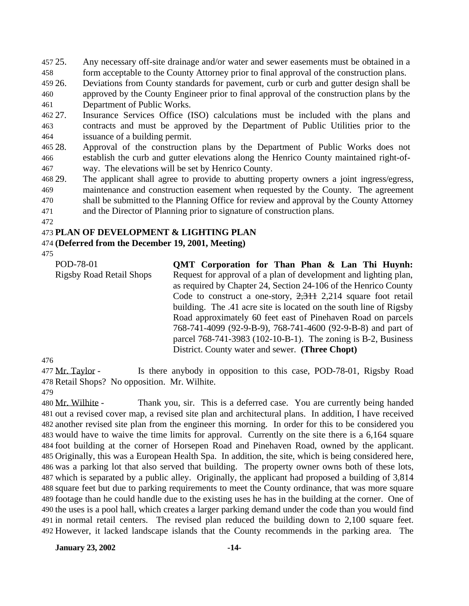25. Any necessary off-site drainage and/or water and sewer easements must be obtained in a

form acceptable to the County Attorney prior to final approval of the construction plans.

 26. Deviations from County standards for pavement, curb or curb and gutter design shall be approved by the County Engineer prior to final approval of the construction plans by the Department of Public Works.

 27. Insurance Services Office (ISO) calculations must be included with the plans and contracts and must be approved by the Department of Public Utilities prior to the issuance of a building permit.

- 28. Approval of the construction plans by the Department of Public Works does not establish the curb and gutter elevations along the Henrico County maintained right-of-way. The elevations will be set by Henrico County.
- 29. The applicant shall agree to provide to abutting property owners a joint ingress/egress, maintenance and construction easement when requested by the County. The agreement shall be submitted to the Planning Office for review and approval by the County Attorney
- and the Director of Planning prior to signature of construction plans.
- 

## **PLAN OF DEVELOPMENT & LIGHTING PLAN**

## **(Deferred from the December 19, 2001, Meeting)**

| POD-78-01                       | QMT Corporation for Than Phan & Lan Thi Huynh:                     |
|---------------------------------|--------------------------------------------------------------------|
| <b>Rigsby Road Retail Shops</b> | Request for approval of a plan of development and lighting plan,   |
|                                 | as required by Chapter 24, Section 24-106 of the Henrico County    |
|                                 | Code to construct a one-story, $2,311$ 2,214 square foot retail    |
|                                 | building. The .41 acre site is located on the south line of Rigsby |
|                                 | Road approximately 60 feet east of Pinehaven Road on parcels       |
|                                 | 768-741-4099 (92-9-B-9), 768-741-4600 (92-9-B-8) and part of       |
|                                 | parcel 768-741-3983 (102-10-B-1). The zoning is B-2, Business      |
|                                 | District. County water and sewer. (Three Chopt)                    |

477 Mr. Taylor - Is there anybody in opposition to this case, POD-78-01, Rigsby Road Retail Shops? No opposition. Mr. Wilhite.

480 Mr. Wilhite - Thank you, sir. This is a deferred case. You are currently being handed out a revised cover map, a revised site plan and architectural plans. In addition, I have received another revised site plan from the engineer this morning. In order for this to be considered you would have to waive the time limits for approval. Currently on the site there is a 6,164 square foot building at the corner of Horsepen Road and Pinehaven Road, owned by the applicant. Originally, this was a European Health Spa. In addition, the site, which is being considered here, was a parking lot that also served that building. The property owner owns both of these lots, which is separated by a public alley. Originally, the applicant had proposed a building of 3,814 square feet but due to parking requirements to meet the County ordinance, that was more square footage than he could handle due to the existing uses he has in the building at the corner. One of the uses is a pool hall, which creates a larger parking demand under the code than you would find in normal retail centers. The revised plan reduced the building down to 2,100 square feet. However, it lacked landscape islands that the County recommends in the parking area. The

**January 23, 2002 -14-**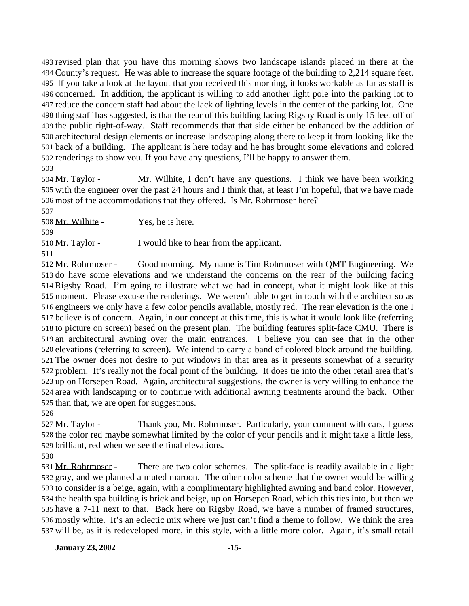revised plan that you have this morning shows two landscape islands placed in there at the County's request. He was able to increase the square footage of the building to 2,214 square feet. If you take a look at the layout that you received this morning, it looks workable as far as staff is concerned. In addition, the applicant is willing to add another light pole into the parking lot to reduce the concern staff had about the lack of lighting levels in the center of the parking lot. One thing staff has suggested, is that the rear of this building facing Rigsby Road is only 15 feet off of the public right-of-way. Staff recommends that that side either be enhanced by the addition of architectural design elements or increase landscaping along there to keep it from looking like the back of a building. The applicant is here today and he has brought some elevations and colored renderings to show you. If you have any questions, I'll be happy to answer them. 

 Mr. Taylor - Mr. Wilhite, I don't have any questions. I think we have been working with the engineer over the past 24 hours and I think that, at least I'm hopeful, that we have made most of the accommodations that they offered. Is Mr. Rohrmoser here?

 Mr. Wilhite - Yes, he is here. 510 Mr. Taylor - I would like to hear from the applicant. 

 Mr. Rohrmoser - Good morning. My name is Tim Rohrmoser with QMT Engineering. We do have some elevations and we understand the concerns on the rear of the building facing Rigsby Road. I'm going to illustrate what we had in concept, what it might look like at this moment. Please excuse the renderings. We weren't able to get in touch with the architect so as engineers we only have a few color pencils available, mostly red. The rear elevation is the one I believe is of concern. Again, in our concept at this time, this is what it would look like (referring to picture on screen) based on the present plan. The building features split-face CMU. There is an architectural awning over the main entrances. I believe you can see that in the other elevations (referring to screen). We intend to carry a band of colored block around the building. The owner does not desire to put windows in that area as it presents somewhat of a security problem. It's really not the focal point of the building. It does tie into the other retail area that's up on Horsepen Road. Again, architectural suggestions, the owner is very willing to enhance the area with landscaping or to continue with additional awning treatments around the back. Other than that, we are open for suggestions.

 Mr. Taylor - Thank you, Mr. Rohrmoser. Particularly, your comment with cars, I guess the color red maybe somewhat limited by the color of your pencils and it might take a little less, brilliant, red when we see the final elevations.

 Mr. Rohrmoser - There are two color schemes. The split-face is readily available in a light gray, and we planned a muted maroon. The other color scheme that the owner would be willing to consider is a beige, again, with a complimentary highlighted awning and band color. However, the health spa building is brick and beige, up on Horsepen Road, which this ties into, but then we have a 7-11 next to that. Back here on Rigsby Road, we have a number of framed structures, mostly white. It's an eclectic mix where we just can't find a theme to follow. We think the area will be, as it is redeveloped more, in this style, with a little more color. Again, it's small retail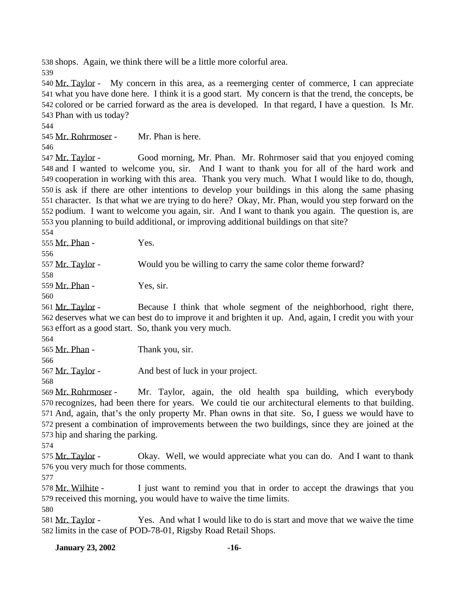shops. Again, we think there will be a little more colorful area.

 Mr. Taylor - My concern in this area, as a reemerging center of commerce, I can appreciate what you have done here. I think it is a good start. My concern is that the trend, the concepts, be colored or be carried forward as the area is developed. In that regard, I have a question. Is Mr. Phan with us today?

Mr. Rohrmoser - Mr. Phan is here.

 Mr. Taylor - Good morning, Mr. Phan. Mr. Rohrmoser said that you enjoyed coming and I wanted to welcome you, sir. And I want to thank you for all of the hard work and cooperation in working with this area. Thank you very much. What I would like to do, though, is ask if there are other intentions to develop your buildings in this along the same phasing character. Is that what we are trying to do here? Okay, Mr. Phan, would you step forward on the podium. I want to welcome you again, sir. And I want to thank you again. The question is, are you planning to build additional, or improving additional buildings on that site?

 Mr. Phan - Yes.

557 Mr. Taylor - Would you be willing to carry the same color theme forward?

Mr. Phan - Yes, sir.

 Mr. Taylor - Because I think that whole segment of the neighborhood, right there, deserves what we can best do to improve it and brighten it up. And, again, I credit you with your effort as a good start. So, thank you very much.

565 Mr. Phan - Thank you, sir.

Mr. Taylor - And best of luck in your project.

 Mr. Rohrmoser - Mr. Taylor, again, the old health spa building, which everybody recognizes, had been there for years. We could tie our architectural elements to that building. And, again, that's the only property Mr. Phan owns in that site. So, I guess we would have to present a combination of improvements between the two buildings, since they are joined at the hip and sharing the parking.

575 Mr. Taylor - Okay. Well, we would appreciate what you can do. And I want to thank you very much for those comments.

578 Mr. Wilhite - I just want to remind you that in order to accept the drawings that you received this morning, you would have to waive the time limits.

 Mr. Taylor - Yes. And what I would like to do is start and move that we waive the time limits in the case of POD-78-01, Rigsby Road Retail Shops.

**January 23, 2002 -16-**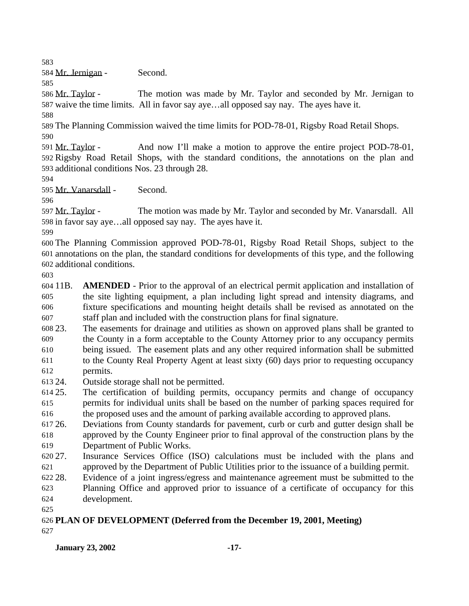Mr. Jernigan - Second.

 Mr. Taylor - The motion was made by Mr. Taylor and seconded by Mr. Jernigan to waive the time limits. All in favor say aye…all opposed say nay. The ayes have it.

 The Planning Commission waived the time limits for POD-78-01, Rigsby Road Retail Shops. 

 Mr. Taylor - And now I'll make a motion to approve the entire project POD-78-01, Rigsby Road Retail Shops, with the standard conditions, the annotations on the plan and additional conditions Nos. 23 through 28.

Mr. Vanarsdall - Second.

 Mr. Taylor - The motion was made by Mr. Taylor and seconded by Mr. Vanarsdall. All in favor say aye…all opposed say nay. The ayes have it.

 The Planning Commission approved POD-78-01, Rigsby Road Retail Shops, subject to the annotations on the plan, the standard conditions for developments of this type, and the following additional conditions.

 11B. **AMENDED** - Prior to the approval of an electrical permit application and installation of the site lighting equipment, a plan including light spread and intensity diagrams, and fixture specifications and mounting height details shall be revised as annotated on the staff plan and included with the construction plans for final signature.

 23. The easements for drainage and utilities as shown on approved plans shall be granted to the County in a form acceptable to the County Attorney prior to any occupancy permits being issued. The easement plats and any other required information shall be submitted

 to the County Real Property Agent at least sixty (60) days prior to requesting occupancy permits.

24. Outside storage shall not be permitted.

 25. The certification of building permits, occupancy permits and change of occupancy permits for individual units shall be based on the number of parking spaces required for

the proposed uses and the amount of parking available according to approved plans.

 26. Deviations from County standards for pavement, curb or curb and gutter design shall be approved by the County Engineer prior to final approval of the construction plans by the Department of Public Works.

 27. Insurance Services Office (ISO) calculations must be included with the plans and approved by the Department of Public Utilities prior to the issuance of a building permit.

28. Evidence of a joint ingress/egress and maintenance agreement must be submitted to the

 Planning Office and approved prior to issuance of a certificate of occupancy for this development.

#### **PLAN OF DEVELOPMENT (Deferred from the December 19, 2001, Meeting)**

## **January 23, 2002 -17-**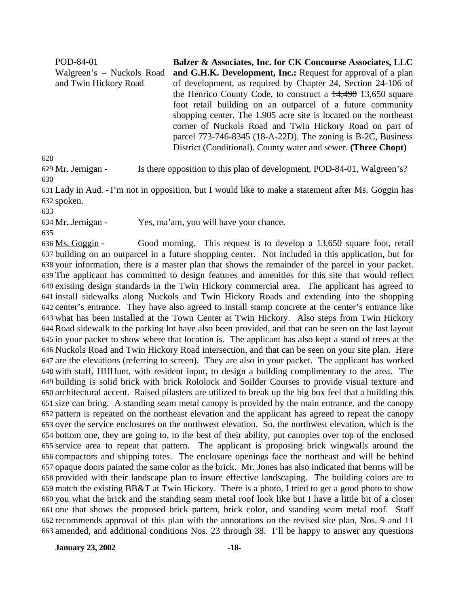POD-84-01 Walgreen's – Nuckols Road and Twin Hickory Road **Balzer & Associates, Inc. for CK Concourse Associates, LLC and G.H.K. Development, Inc.:** Request for approval of a plan of development, as required by Chapter 24, Section 24-106 of the Henrico County Code, to construct a  $14,490$  13,650 square foot retail building on an outparcel of a future community shopping center. The 1.905 acre site is located on the northeast corner of Nuckols Road and Twin Hickory Road on part of parcel 773-746-8345 (18-A-22D). The zoning is B-2C, Business District (Conditional). County water and sewer. **(Three Chopt)**

Mr. Jernigan - Is there opposition to this plan of development, POD-84-01, Walgreen's?

 Lady in Aud. - I'm not in opposition, but I would like to make a statement after Ms. Goggin has spoken.

Mr. Jernigan - Yes, ma'am, you will have your chance.

 Ms. Goggin - Good morning. This request is to develop a 13,650 square foot, retail building on an outparcel in a future shopping center. Not included in this application, but for your information, there is a master plan that shows the remainder of the parcel in your packet. The applicant has committed to design features and amenities for this site that would reflect existing design standards in the Twin Hickory commercial area. The applicant has agreed to install sidewalks along Nuckols and Twin Hickory Roads and extending into the shopping center's entrance. They have also agreed to install stamp concrete at the center's entrance like what has been installed at the Town Center at Twin Hickory. Also steps from Twin Hickory Road sidewalk to the parking lot have also been provided, and that can be seen on the last layout in your packet to show where that location is. The applicant has also kept a stand of trees at the Nuckols Road and Twin Hickory Road intersection, and that can be seen on your site plan. Here are the elevations (referring to screen). They are also in your packet. The applicant has worked with staff, HHHunt, with resident input, to design a building complimentary to the area. The building is solid brick with brick Rololock and Soilder Courses to provide visual texture and architectural accent. Raised pilasters are utilized to break up the big box feel that a building this size can bring. A standing seam metal canopy is provided by the main entrance, and the canopy pattern is repeated on the northeast elevation and the applicant has agreed to repeat the canopy over the service enclosures on the northwest elevation. So, the northwest elevation, which is the bottom one, they are going to, to the best of their ability, put canopies over top of the enclosed service area to repeat that pattern. The applicant is proposing brick wingwalls around the compactors and shipping totes. The enclosure openings face the northeast and will be behind opaque doors painted the same color as the brick. Mr. Jones has also indicated that berms will be provided with their landscape plan to insure effective landscaping. The building colors are to match the existing BB&T at Twin Hickory. There is a photo, I tried to get a good photo to show you what the brick and the standing seam metal roof look like but I have a little bit of a closer one that shows the proposed brick pattern, brick color, and standing seam metal roof. Staff recommends approval of this plan with the annotations on the revised site plan, Nos. 9 and 11 amended, and additional conditions Nos. 23 through 38. I'll be happy to answer any questions

**January 23, 2002 -18-**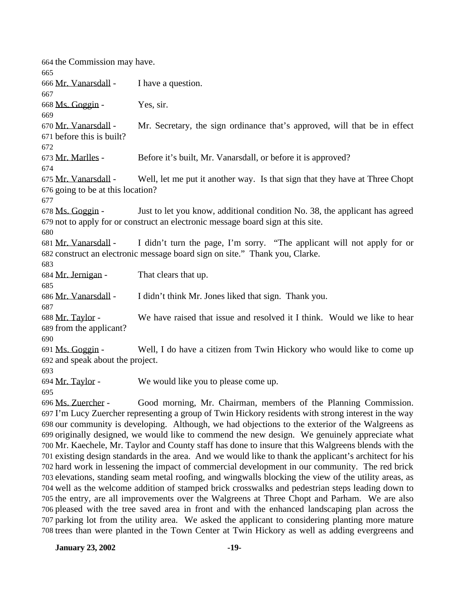the Commission may have. Mr. Vanarsdall - I have a question. Ms. Goggin - Yes, sir. Mr. Vanarsdall - Mr. Secretary, the sign ordinance that's approved, will that be in effect before this is built? Mr. Marlles - Before it's built, Mr. Vanarsdall, or before it is approved? Mr. Vanarsdall - Well, let me put it another way. Is that sign that they have at Three Chopt going to be at this location? Ms. Goggin - Just to let you know, additional condition No. 38, the applicant has agreed not to apply for or construct an electronic message board sign at this site. Mr. Vanarsdall - I didn't turn the page, I'm sorry. "The applicant will not apply for or construct an electronic message board sign on site." Thank you, Clarke. Mr. Jernigan - That clears that up. Mr. Vanarsdall - I didn't think Mr. Jones liked that sign. Thank you. Mr. Taylor - We have raised that issue and resolved it I think. Would we like to hear from the applicant? Ms. Goggin - Well, I do have a citizen from Twin Hickory who would like to come up and speak about the project. 694 Mr. Taylor - We would like you to please come up. Ms. Zuercher - Good morning, Mr. Chairman, members of the Planning Commission. I'm Lucy Zuercher representing a group of Twin Hickory residents with strong interest in the way our community is developing. Although, we had objections to the exterior of the Walgreens as originally designed, we would like to commend the new design. We genuinely appreciate what Mr. Kaechele, Mr. Taylor and County staff has done to insure that this Walgreens blends with the existing design standards in the area. And we would like to thank the applicant's architect for his hard work in lessening the impact of commercial development in our community. The red brick elevations, standing seam metal roofing, and wingwalls blocking the view of the utility areas, as well as the welcome addition of stamped brick crosswalks and pedestrian steps leading down to

 the entry, are all improvements over the Walgreens at Three Chopt and Parham. We are also pleased with the tree saved area in front and with the enhanced landscaping plan across the parking lot from the utility area. We asked the applicant to considering planting more mature trees than were planted in the Town Center at Twin Hickory as well as adding evergreens and

**January 23, 2002 -19-**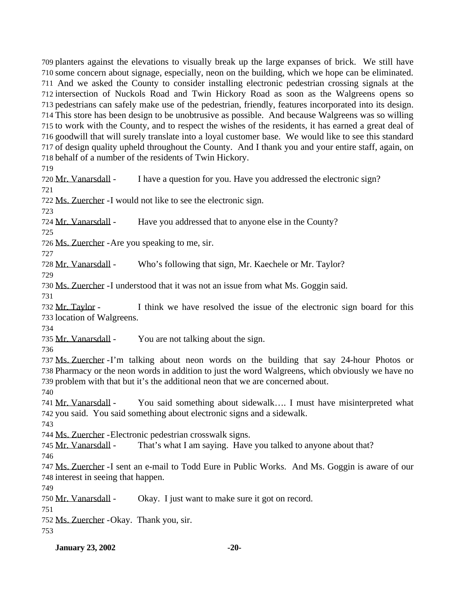planters against the elevations to visually break up the large expanses of brick. We still have some concern about signage, especially, neon on the building, which we hope can be eliminated. And we asked the County to consider installing electronic pedestrian crossing signals at the intersection of Nuckols Road and Twin Hickory Road as soon as the Walgreens opens so pedestrians can safely make use of the pedestrian, friendly, features incorporated into its design. This store has been design to be unobtrusive as possible. And because Walgreens was so willing to work with the County, and to respect the wishes of the residents, it has earned a great deal of goodwill that will surely translate into a loyal customer base. We would like to see this standard of design quality upheld throughout the County. And I thank you and your entire staff, again, on behalf of a number of the residents of Twin Hickory.

 Mr. Vanarsdall - I have a question for you. Have you addressed the electronic sign? Ms. Zuercher -I would not like to see the electronic sign.

Mr. Vanarsdall - Have you addressed that to anyone else in the County?

Ms. Zuercher -Are you speaking to me, sir.

Mr. Vanarsdall - Who's following that sign, Mr. Kaechele or Mr. Taylor?

Ms. Zuercher -I understood that it was not an issue from what Ms. Goggin said.

 Mr. Taylor - I think we have resolved the issue of the electronic sign board for this location of Walgreens.

735 Mr. Vanarsdall - You are not talking about the sign.

 Ms. Zuercher -I'm talking about neon words on the building that say 24-hour Photos or Pharmacy or the neon words in addition to just the word Walgreens, which obviously we have no problem with that but it's the additional neon that we are concerned about.

 Mr. Vanarsdall - You said something about sidewalk…. I must have misinterpreted what you said. You said something about electronic signs and a sidewalk.

Ms. Zuercher -Electronic pedestrian crosswalk signs.

Mr. Vanarsdall - That's what I am saying. Have you talked to anyone about that?

 Ms. Zuercher -I sent an e-mail to Todd Eure in Public Works. And Ms. Goggin is aware of our interest in seeing that happen.

Mr. Vanarsdall - Okay. I just want to make sure it got on record.

Ms. Zuercher -Okay. Thank you, sir.

**January 23, 2002** -20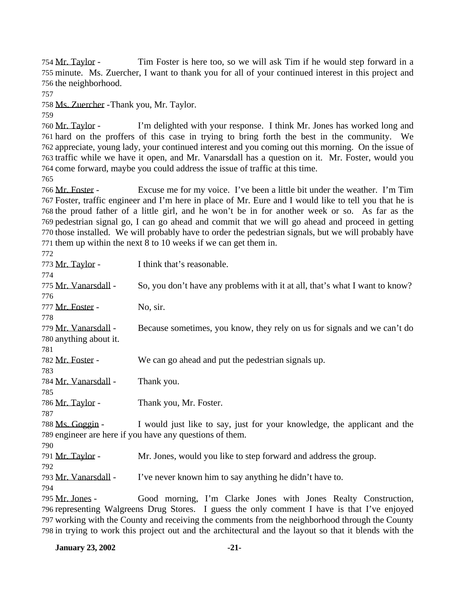Mr. Taylor - Tim Foster is here too, so we will ask Tim if he would step forward in a minute. Ms. Zuercher, I want to thank you for all of your continued interest in this project and the neighborhood.

Ms. Zuercher -Thank you, Mr. Taylor.

 Mr. Taylor - I'm delighted with your response. I think Mr. Jones has worked long and hard on the proffers of this case in trying to bring forth the best in the community. We appreciate, young lady, your continued interest and you coming out this morning. On the issue of traffic while we have it open, and Mr. Vanarsdall has a question on it. Mr. Foster, would you come forward, maybe you could address the issue of traffic at this time.

 Mr. Foster - Excuse me for my voice. I've been a little bit under the weather. I'm Tim Foster, traffic engineer and I'm here in place of Mr. Eure and I would like to tell you that he is the proud father of a little girl, and he won't be in for another week or so. As far as the pedestrian signal go, I can go ahead and commit that we will go ahead and proceed in getting those installed. We will probably have to order the pedestrian signals, but we will probably have them up within the next 8 to 10 weeks if we can get them in.

| 772                    |                                                                                                 |
|------------------------|-------------------------------------------------------------------------------------------------|
| 773 Mr. Taylor -       | I think that's reasonable.                                                                      |
| 774                    |                                                                                                 |
| 775 Mr. Vanarsdall -   | So, you don't have any problems with it at all, that's what I want to know?                     |
| 776                    |                                                                                                 |
| 777 Mr. Foster -       | No, sir.                                                                                        |
| 778                    |                                                                                                 |
| 779 Mr. Vanarsdall -   | Because sometimes, you know, they rely on us for signals and we can't do                        |
| 780 anything about it. |                                                                                                 |
| 781                    |                                                                                                 |
| 782 Mr. Foster -       | We can go ahead and put the pedestrian signals up.                                              |
| 783                    |                                                                                                 |
| 784 Mr. Vanarsdall -   | Thank you.                                                                                      |
| 785                    |                                                                                                 |
| 786 Mr. Taylor -       | Thank you, Mr. Foster.                                                                          |
| 787                    |                                                                                                 |
| 788 Ms. Goggin -       | I would just like to say, just for your knowledge, the applicant and the                        |
|                        | 789 engineer are here if you have any questions of them.                                        |
| 790                    |                                                                                                 |
| 791 Mr. Taylor -       | Mr. Jones, would you like to step forward and address the group.                                |
| 792                    |                                                                                                 |
| 793 Mr. Vanarsdall -   | I've never known him to say anything he didn't have to.                                         |
| 794                    |                                                                                                 |
| 795 Mr. Jones -        | Good morning, I'm Clarke Jones with Jones Realty Construction,                                  |
|                        | 796 representing Walgreens Drug Stores. I guess the only comment I have is that I've enjoyed    |
|                        | 797 working with the County and receiving the comments from the neighborhood through the County |

in trying to work this project out and the architectural and the layout so that it blends with the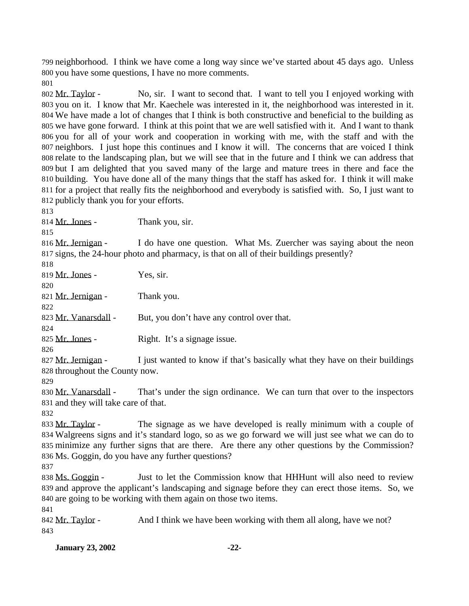neighborhood. I think we have come a long way since we've started about 45 days ago. Unless you have some questions, I have no more comments.

 Mr. Taylor - No, sir. I want to second that. I want to tell you I enjoyed working with you on it. I know that Mr. Kaechele was interested in it, the neighborhood was interested in it. We have made a lot of changes that I think is both constructive and beneficial to the building as we have gone forward. I think at this point that we are well satisfied with it. And I want to thank you for all of your work and cooperation in working with me, with the staff and with the neighbors. I just hope this continues and I know it will. The concerns that are voiced I think relate to the landscaping plan, but we will see that in the future and I think we can address that but I am delighted that you saved many of the large and mature trees in there and face the building. You have done all of the many things that the staff has asked for. I think it will make for a project that really fits the neighborhood and everybody is satisfied with. So, I just want to publicly thank you for your efforts.

814 Mr. Jones - Thank you, sir.

816 Mr. Jernigan - I do have one question. What Ms. Zuercher was saying about the neon signs, the 24-hour photo and pharmacy, is that on all of their buildings presently?

 Mr. Jones - Yes, sir. 

Mr. Jernigan - Thank you.

823 Mr. Vanarsdall - But, you don't have any control over that.

825 Mr. Jones - Right. It's a signage issue.

827 Mr. Jernigan - I just wanted to know if that's basically what they have on their buildings throughout the County now.

830 Mr. Vanarsdall - That's under the sign ordinance. We can turn that over to the inspectors and they will take care of that.

833 Mr. Taylor - The signage as we have developed is really minimum with a couple of Walgreens signs and it's standard logo, so as we go forward we will just see what we can do to minimize any further signs that are there. Are there any other questions by the Commission? Ms. Goggin, do you have any further questions?

838 Ms. Goggin - Just to let the Commission know that HHHunt will also need to review and approve the applicant's landscaping and signage before they can erect those items. So, we are going to be working with them again on those two items.

842 Mr. Taylor - And I think we have been working with them all along, have we not? 

**January 23, 2002 -22-**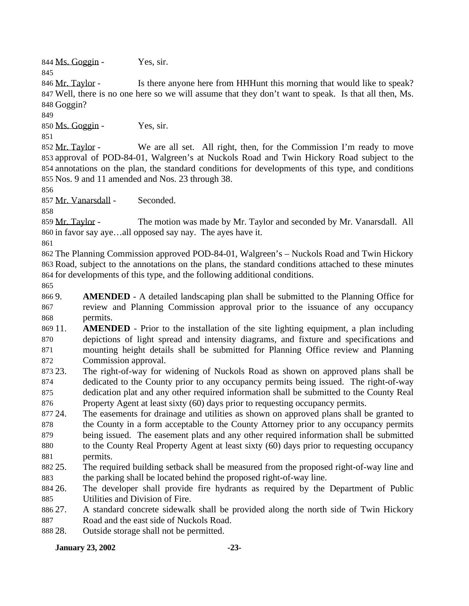844 Ms. Goggin - Yes, sir.

846 Mr. Taylor - Is there anyone here from HHHunt this morning that would like to speak? Well, there is no one here so we will assume that they don't want to speak. Is that all then, Ms. Goggin?

Ms. Goggin - Yes, sir.

 Mr. Taylor - We are all set. All right, then, for the Commission I'm ready to move approval of POD-84-01, Walgreen's at Nuckols Road and Twin Hickory Road subject to the annotations on the plan, the standard conditions for developments of this type, and conditions Nos. 9 and 11 amended and Nos. 23 through 38.

Mr. Vanarsdall - Seconded.

859 Mr. Taylor - The motion was made by Mr. Taylor and seconded by Mr. Vanarsdall. All in favor say aye…all opposed say nay. The ayes have it.

 The Planning Commission approved POD-84-01, Walgreen's – Nuckols Road and Twin Hickory Road, subject to the annotations on the plans, the standard conditions attached to these minutes for developments of this type, and the following additional conditions.

 9. **AMENDED** - A detailed landscaping plan shall be submitted to the Planning Office for review and Planning Commission approval prior to the issuance of any occupancy permits.

 11. **AMENDED** - Prior to the installation of the site lighting equipment, a plan including depictions of light spread and intensity diagrams, and fixture and specifications and mounting height details shall be submitted for Planning Office review and Planning Commission approval.

 23. The right-of-way for widening of Nuckols Road as shown on approved plans shall be dedicated to the County prior to any occupancy permits being issued. The right-of-way dedication plat and any other required information shall be submitted to the County Real Property Agent at least sixty (60) days prior to requesting occupancy permits.

 24. The easements for drainage and utilities as shown on approved plans shall be granted to 878 the County in a form acceptable to the County Attorney prior to any occupancy permits being issued. The easement plats and any other required information shall be submitted

 to the County Real Property Agent at least sixty (60) days prior to requesting occupancy permits.

 25. The required building setback shall be measured from the proposed right-of-way line and the parking shall be located behind the proposed right-of-way line.

 26. The developer shall provide fire hydrants as required by the Department of Public Utilities and Division of Fire.

 27. A standard concrete sidewalk shall be provided along the north side of Twin Hickory Road and the east side of Nuckols Road.

28. Outside storage shall not be permitted.

**January 23, 2002 -23-**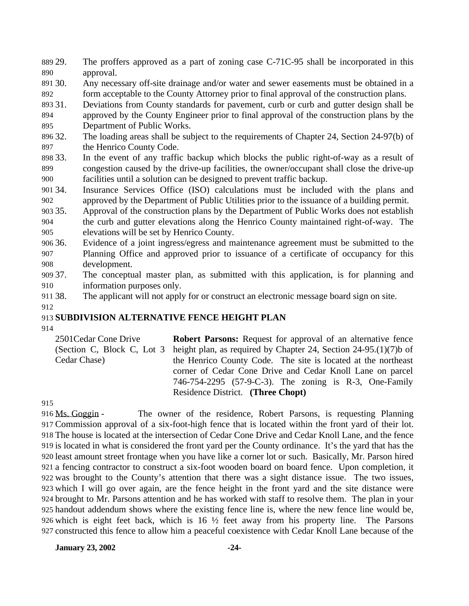29. The proffers approved as a part of zoning case C-71C-95 shall be incorporated in this approval.

 30. Any necessary off-site drainage and/or water and sewer easements must be obtained in a form acceptable to the County Attorney prior to final approval of the construction plans.

31. Deviations from County standards for pavement, curb or curb and gutter design shall be

 approved by the County Engineer prior to final approval of the construction plans by the Department of Public Works.

- 32. The loading areas shall be subject to the requirements of Chapter 24, Section 24-97(b) of 897 the Henrico County Code.
- 33. In the event of any traffic backup which blocks the public right-of-way as a result of congestion caused by the drive-up facilities, the owner/occupant shall close the drive-up facilities until a solution can be designed to prevent traffic backup.
- 34. Insurance Services Office (ISO) calculations must be included with the plans and approved by the Department of Public Utilities prior to the issuance of a building permit.
- 35. Approval of the construction plans by the Department of Public Works does not establish the curb and gutter elevations along the Henrico County maintained right-of-way. The elevations will be set by Henrico County.
- 36. Evidence of a joint ingress/egress and maintenance agreement must be submitted to the Planning Office and approved prior to issuance of a certificate of occupancy for this development.
- 37. The conceptual master plan, as submitted with this application, is for planning and information purposes only.
- 38. The applicant will not apply for or construct an electronic message board sign on site.
- 

## **SUBDIVISION ALTERNATIVE FENCE HEIGHT PLAN**

2501Cedar Cone Drive (Section C, Block C, Lot 3 Cedar Chase) **Robert Parsons:** Request for approval of an alternative fence height plan, as required by Chapter 24, Section 24-95.(1)(7)b of the Henrico County Code. The site is located at the northeast corner of Cedar Cone Drive and Cedar Knoll Lane on parcel 746-754-2295 (57-9-C-3). The zoning is R-3, One-Family Residence District. **(Three Chopt)**

 Ms. Goggin - The owner of the residence, Robert Parsons, is requesting Planning Commission approval of a six-foot-high fence that is located within the front yard of their lot. The house is located at the intersection of Cedar Cone Drive and Cedar Knoll Lane, and the fence is located in what is considered the front yard per the County ordinance. It's the yard that has the least amount street frontage when you have like a corner lot or such. Basically, Mr. Parson hired a fencing contractor to construct a six-foot wooden board on board fence. Upon completion, it was brought to the County's attention that there was a sight distance issue. The two issues, which I will go over again, are the fence height in the front yard and the site distance were brought to Mr. Parsons attention and he has worked with staff to resolve them. The plan in your handout addendum shows where the existing fence line is, where the new fence line would be, which is eight feet back, which is 16 ½ feet away from his property line. The Parsons constructed this fence to allow him a peaceful coexistence with Cedar Knoll Lane because of the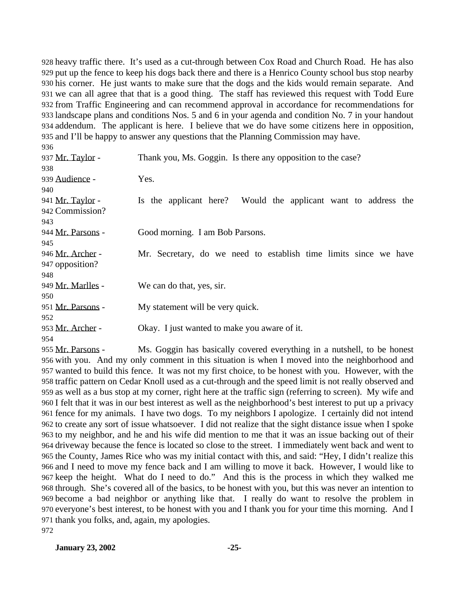heavy traffic there. It's used as a cut-through between Cox Road and Church Road. He has also put up the fence to keep his dogs back there and there is a Henrico County school bus stop nearby his corner. He just wants to make sure that the dogs and the kids would remain separate. And we can all agree that that is a good thing. The staff has reviewed this request with Todd Eure from Traffic Engineering and can recommend approval in accordance for recommendations for landscape plans and conditions Nos. 5 and 6 in your agenda and condition No. 7 in your handout addendum. The applicant is here. I believe that we do have some citizens here in opposition, and I'll be happy to answer any questions that the Planning Commission may have. 

| Thank you, Ms. Goggin. Is there any opposition to the case?      |
|------------------------------------------------------------------|
|                                                                  |
| Yes.                                                             |
|                                                                  |
| Is the applicant here? Would the applicant want to address the   |
|                                                                  |
|                                                                  |
| Good morning. I am Bob Parsons.                                  |
|                                                                  |
| Mr. Secretary, do we need to establish time limits since we have |
|                                                                  |
|                                                                  |
| We can do that, yes, sir.                                        |
|                                                                  |
| My statement will be very quick.                                 |
|                                                                  |
| Okay. I just wanted to make you aware of it.                     |
|                                                                  |
|                                                                  |

 Mr. Parsons - Ms. Goggin has basically covered everything in a nutshell, to be honest with you. And my only comment in this situation is when I moved into the neighborhood and wanted to build this fence. It was not my first choice, to be honest with you. However, with the traffic pattern on Cedar Knoll used as a cut-through and the speed limit is not really observed and as well as a bus stop at my corner, right here at the traffic sign (referring to screen). My wife and I felt that it was in our best interest as well as the neighborhood's best interest to put up a privacy fence for my animals. I have two dogs. To my neighbors I apologize. I certainly did not intend to create any sort of issue whatsoever. I did not realize that the sight distance issue when I spoke to my neighbor, and he and his wife did mention to me that it was an issue backing out of their driveway because the fence is located so close to the street. I immediately went back and went to the County, James Rice who was my initial contact with this, and said: "Hey, I didn't realize this and I need to move my fence back and I am willing to move it back. However, I would like to keep the height. What do I need to do." And this is the process in which they walked me through. She's covered all of the basics, to be honest with you, but this was never an intention to become a bad neighbor or anything like that. I really do want to resolve the problem in everyone's best interest, to be honest with you and I thank you for your time this morning. And I thank you folks, and, again, my apologies.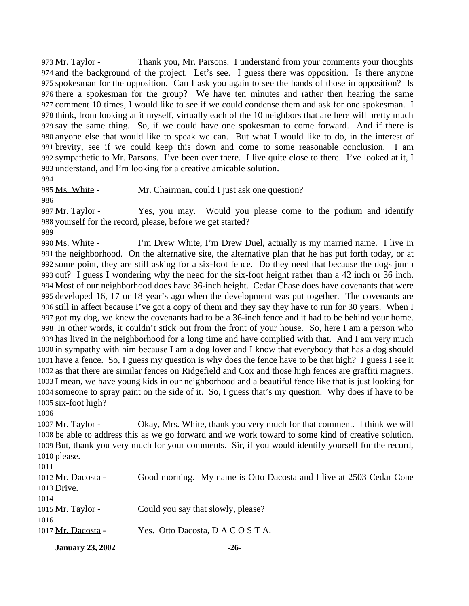973 Mr. Taylor - Thank you, Mr. Parsons. I understand from your comments your thoughts and the background of the project. Let's see. I guess there was opposition. Is there anyone spokesman for the opposition. Can I ask you again to see the hands of those in opposition? Is there a spokesman for the group? We have ten minutes and rather then hearing the same comment 10 times, I would like to see if we could condense them and ask for one spokesman. I think, from looking at it myself, virtually each of the 10 neighbors that are here will pretty much say the same thing. So, if we could have one spokesman to come forward. And if there is anyone else that would like to speak we can. But what I would like to do, in the interest of brevity, see if we could keep this down and come to some reasonable conclusion. I am sympathetic to Mr. Parsons. I've been over there. I live quite close to there. I've looked at it, I understand, and I'm looking for a creative amicable solution.

985 Ms. White - Mr. Chairman, could I just ask one question?

987 Mr. Taylor - Yes, you may. Would you please come to the podium and identify yourself for the record, please, before we get started?

 Ms. White - I'm Drew White, I'm Drew Duel, actually is my married name. I live in the neighborhood. On the alternative site, the alternative plan that he has put forth today, or at some point, they are still asking for a six-foot fence. Do they need that because the dogs jump out? I guess I wondering why the need for the six-foot height rather than a 42 inch or 36 inch. Most of our neighborhood does have 36-inch height. Cedar Chase does have covenants that were developed 16, 17 or 18 year's ago when the development was put together. The covenants are still in affect because I've got a copy of them and they say they have to run for 30 years. When I got my dog, we knew the covenants had to be a 36-inch fence and it had to be behind your home. In other words, it couldn't stick out from the front of your house. So, here I am a person who has lived in the neighborhood for a long time and have complied with that. And I am very much in sympathy with him because I am a dog lover and I know that everybody that has a dog should have a fence. So, I guess my question is why does the fence have to be that high? I guess I see it as that there are similar fences on Ridgefield and Cox and those high fences are graffiti magnets. I mean, we have young kids in our neighborhood and a beautiful fence like that is just looking for someone to spray paint on the side of it. So, I guess that's my question. Why does if have to be six-foot high?

 Mr. Taylor - Okay, Mrs. White, thank you very much for that comment. I think we will be able to address this as we go forward and we work toward to some kind of creative solution. But, thank you very much for your comments. Sir, if you would identify yourself for the record, please.

 Mr. Dacosta - Good morning. My name is Otto Dacosta and I live at 2503 Cedar Cone Drive. 1015 Mr. Taylor - Could you say that slowly, please? Mr. Dacosta - Yes. Otto Dacosta, D A C O S T A.

**January 23, 2002 -26-**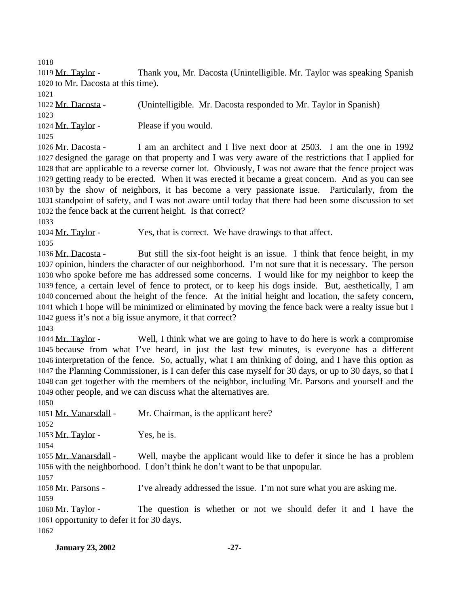Mr. Taylor - Thank you, Mr. Dacosta (Unintelligible. Mr. Taylor was speaking Spanish to Mr. Dacosta at this time).

 Mr. Dacosta - (Unintelligible. Mr. Dacosta responded to Mr. Taylor in Spanish) 1024 Mr. Taylor - Please if you would. 

 Mr. Dacosta - I am an architect and I live next door at 2503. I am the one in 1992 designed the garage on that property and I was very aware of the restrictions that I applied for that are applicable to a reverse corner lot. Obviously, I was not aware that the fence project was getting ready to be erected. When it was erected it became a great concern. And as you can see by the show of neighbors, it has become a very passionate issue. Particularly, from the standpoint of safety, and I was not aware until today that there had been some discussion to set the fence back at the current height. Is that correct?

1034 Mr. Taylor - Yes, that is correct. We have drawings to that affect.

 Mr. Dacosta - But still the six-foot height is an issue. I think that fence height, in my opinion, hinders the character of our neighborhood. I'm not sure that it is necessary. The person who spoke before me has addressed some concerns. I would like for my neighbor to keep the fence, a certain level of fence to protect, or to keep his dogs inside. But, aesthetically, I am concerned about the height of the fence. At the initial height and location, the safety concern, which I hope will be minimized or eliminated by moving the fence back were a realty issue but I guess it's not a big issue anymore, it that correct?

 Mr. Taylor - Well, I think what we are going to have to do here is work a compromise because from what I've heard, in just the last few minutes, is everyone has a different interpretation of the fence. So, actually, what I am thinking of doing, and I have this option as the Planning Commissioner, is I can defer this case myself for 30 days, or up to 30 days, so that I can get together with the members of the neighbor, including Mr. Parsons and yourself and the other people, and we can discuss what the alternatives are.

Mr. Vanarsdall - Mr. Chairman, is the applicant here?

1053 Mr. Taylor - Yes, he is.

 Mr. Vanarsdall - Well, maybe the applicant would like to defer it since he has a problem with the neighborhood. I don't think he don't want to be that unpopular.

 Mr. Parsons - I've already addressed the issue. I'm not sure what you are asking me. 

 Mr. Taylor - The question is whether or not we should defer it and I have the opportunity to defer it for 30 days.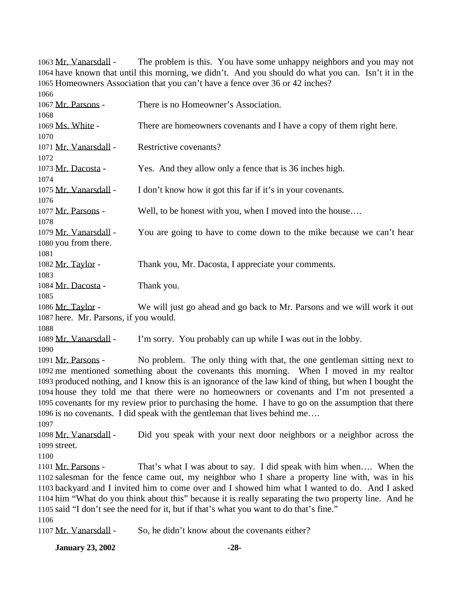Mr. Vanarsdall - The problem is this. You have some unhappy neighbors and you may not have known that until this morning, we didn't. And you should do what you can. Isn't it in the Homeowners Association that you can't have a fence over 36 or 42 inches? Mr. Parsons - There is no Homeowner's Association. Ms. White - There are homeowners covenants and I have a copy of them right here. 1071 Mr. Vanarsdall - Restrictive covenants? Mr. Dacosta - Yes. And they allow only a fence that is 36 inches high. Mr. Vanarsdall - I don't know how it got this far if it's in your covenants. 1077 Mr. Parsons - Well, to be honest with you, when I moved into the house.... 1079 Mr. Vanarsdall - You are going to have to come down to the mike because we can't hear you from there. 1082 Mr. Taylor - Thank you, Mr. Dacosta, I appreciate your comments. 1084 Mr. Dacosta - Thank you. Mr. Taylor - We will just go ahead and go back to Mr. Parsons and we will work it out here. Mr. Parsons, if you would. Mr. Vanarsdall - I'm sorry. You probably can up while I was out in the lobby. Mr. Parsons - No problem. The only thing with that, the one gentleman sitting next to me mentioned something about the covenants this morning. When I moved in my realtor produced nothing, and I know this is an ignorance of the law kind of thing, but when I bought the house they told me that there were no homeowners or covenants and I'm not presented a covenants for my review prior to purchasing the home. I have to go on the assumption that there is no covenants. I did speak with the gentleman that lives behind me….

 Mr. Vanarsdall - Did you speak with your next door neighbors or a neighbor across the street.

1101 Mr. Parsons - That's what I was about to say. I did speak with him when.... When the salesman for the fence came out, my neighbor who I share a property line with, was in his backyard and I invited him to come over and I showed him what I wanted to do. And I asked him "What do you think about this" because it is really separating the two property line. And he said "I don't see the need for it, but if that's what you want to do that's fine." 

Mr. Vanarsdall - So, he didn't know about the covenants either?

**January 23, 2002 -28-**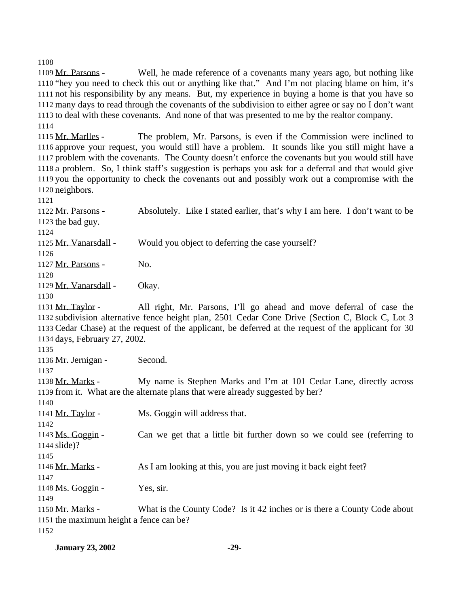Mr. Parsons - Well, he made reference of a covenants many years ago, but nothing like "hey you need to check this out or anything like that." And I'm not placing blame on him, it's not his responsibility by any means. But, my experience in buying a home is that you have so many days to read through the covenants of the subdivision to either agree or say no I don't want to deal with these covenants. And none of that was presented to me by the realtor company. 

1115 Mr. Marlles - The problem, Mr. Parsons, is even if the Commission were inclined to approve your request, you would still have a problem. It sounds like you still might have a problem with the covenants. The County doesn't enforce the covenants but you would still have a problem. So, I think staff's suggestion is perhaps you ask for a deferral and that would give you the opportunity to check the covenants out and possibly work out a compromise with the neighbors.

 Mr. Parsons - Absolutely. Like I stated earlier, that's why I am here. I don't want to be the bad guy.

Mr. Vanarsdall - Would you object to deferring the case yourself?

Mr. Parsons - No.

1129 Mr. Vanarsdall - Okay.

 Mr. Taylor - All right, Mr. Parsons, I'll go ahead and move deferral of case the subdivision alternative fence height plan, 2501 Cedar Cone Drive (Section C, Block C, Lot 3 Cedar Chase) at the request of the applicant, be deferred at the request of the applicant for 30 days, February 27, 2002.

Mr. Jernigan - Second.

 Mr. Marks - My name is Stephen Marks and I'm at 101 Cedar Lane, directly across from it. What are the alternate plans that were already suggested by her?

1141 Mr. Taylor - Ms. Goggin will address that.

 1143 Ms. Goggin - Can we get that a little bit further down so we could see (referring to slide)?

Mr. Marks - As I am looking at this, you are just moving it back eight feet?

Ms. Goggin - Yes, sir.

 Mr. Marks - What is the County Code? Is it 42 inches or is there a County Code about the maximum height a fence can be?

**January 23, 2002 -29-**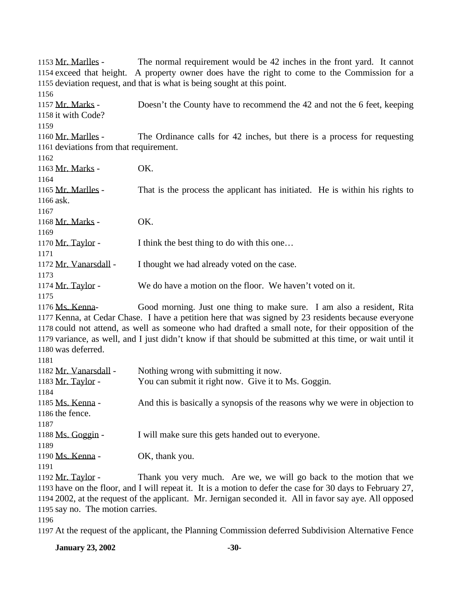| 1153 Mr. Marlles -                                                                            | The normal requirement would be 42 inches in the front yard. It cannot                                     |  |
|-----------------------------------------------------------------------------------------------|------------------------------------------------------------------------------------------------------------|--|
| 1154 exceed that height. A property owner does have the right to come to the Commission for a |                                                                                                            |  |
|                                                                                               | 1155 deviation request, and that is what is being sought at this point.                                    |  |
| 1156                                                                                          |                                                                                                            |  |
| 1157 Mr. Marks -                                                                              | Doesn't the County have to recommend the 42 and not the 6 feet, keeping                                    |  |
| 1158 it with Code?                                                                            |                                                                                                            |  |
| 1159                                                                                          |                                                                                                            |  |
| 1160 Mr. Marlles -                                                                            | The Ordinance calls for 42 inches, but there is a process for requesting                                   |  |
| 1161 deviations from that requirement.                                                        |                                                                                                            |  |
| 1162                                                                                          |                                                                                                            |  |
| 1163 Mr. Marks -                                                                              | OK.                                                                                                        |  |
| 1164                                                                                          |                                                                                                            |  |
| 1165 Mr. Marlles -                                                                            | That is the process the applicant has initiated. He is within his rights to                                |  |
| 1166 ask.                                                                                     |                                                                                                            |  |
| 1167                                                                                          |                                                                                                            |  |
| 1168 Mr. Marks -                                                                              | OK.                                                                                                        |  |
| 1169                                                                                          |                                                                                                            |  |
| 1170 Mr. Taylor -                                                                             | I think the best thing to do with this one                                                                 |  |
| 1171                                                                                          |                                                                                                            |  |
| 1172 Mr. Vanarsdall -                                                                         | I thought we had already voted on the case.                                                                |  |
| 1173                                                                                          |                                                                                                            |  |
| 1174 Mr. Taylor -                                                                             | We do have a motion on the floor. We haven't voted on it.                                                  |  |
| 1175                                                                                          |                                                                                                            |  |
| 1176 Ms. Kenna-                                                                               | Good morning. Just one thing to make sure. I am also a resident, Rita                                      |  |
|                                                                                               | 1177 Kenna, at Cedar Chase. I have a petition here that was signed by 23 residents because everyone        |  |
|                                                                                               | 1178 could not attend, as well as someone who had drafted a small note, for their opposition of the        |  |
|                                                                                               | 1179 variance, as well, and I just didn't know if that should be submitted at this time, or wait until it  |  |
| 1180 was deferred.                                                                            |                                                                                                            |  |
| 1181                                                                                          |                                                                                                            |  |
| 1182 Mr. Vanarsdall -                                                                         | Nothing wrong with submitting it now.                                                                      |  |
| 1183 Mr. Taylor -                                                                             | You can submit it right now. Give it to Ms. Goggin.                                                        |  |
| 1184                                                                                          |                                                                                                            |  |
| 1185 Ms. Kenna -                                                                              | And this is basically a synopsis of the reasons why we were in objection to                                |  |
| 1186 the fence.                                                                               |                                                                                                            |  |
| 1187                                                                                          |                                                                                                            |  |
| 1188 Ms. Goggin -                                                                             | I will make sure this gets handed out to everyone.                                                         |  |
| 1189<br>1190 Ms. Kenna -                                                                      |                                                                                                            |  |
| 1191                                                                                          | OK, thank you.                                                                                             |  |
| 1192 Mr. Taylor -                                                                             | Thank you very much. Are we, we will go back to the motion that we                                         |  |
|                                                                                               | 1193 have on the floor, and I will repeat it. It is a motion to defer the case for 30 days to February 27, |  |
|                                                                                               | 1194 2002, at the request of the applicant. Mr. Jernigan seconded it. All in favor say aye. All opposed    |  |
| 1195 say no. The motion carries.                                                              |                                                                                                            |  |
| 1196                                                                                          |                                                                                                            |  |

At the request of the applicant, the Planning Commission deferred Subdivision Alternative Fence

**January 23, 2002** -30-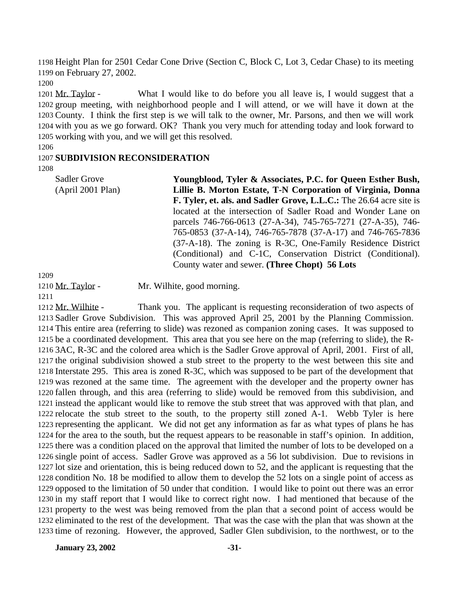Height Plan for 2501 Cedar Cone Drive (Section C, Block C, Lot 3, Cedar Chase) to its meeting on February 27, 2002.

 Mr. Taylor - What I would like to do before you all leave is, I would suggest that a group meeting, with neighborhood people and I will attend, or we will have it down at the County. I think the first step is we will talk to the owner, Mr. Parsons, and then we will work with you as we go forward. OK? Thank you very much for attending today and look forward to working with you, and we will get this resolved.

#### 

#### **SUBDIVISION RECONSIDERATION**

Sadler Grove (April 2001 Plan) **Youngblood, Tyler & Associates, P.C. for Queen Esther Bush, Lillie B. Morton Estate, T-N Corporation of Virginia, Donna F. Tyler, et. als. and Sadler Grove, L.L.C.:** The 26.64 acre site is located at the intersection of Sadler Road and Wonder Lane on parcels 746-766-0613 (27-A-34), 745-765-7271 (27-A-35), 746- 765-0853 (37-A-14), 746-765-7878 (37-A-17) and 746-765-7836 (37-A-18). The zoning is R-3C, One-Family Residence District (Conditional) and C-1C, Conservation District (Conditional). County water and sewer. **(Three Chopt) 56 Lots**

1210 Mr. Taylor - Mr. Wilhite, good morning.

1212 Mr. Wilhite - Thank you. The applicant is requesting reconsideration of two aspects of Sadler Grove Subdivision. This was approved April 25, 2001 by the Planning Commission. This entire area (referring to slide) was rezoned as companion zoning cases. It was supposed to be a coordinated development. This area that you see here on the map (referring to slide), the R- 3AC, R-3C and the colored area which is the Sadler Grove approval of April, 2001. First of all, the original subdivision showed a stub street to the property to the west between this site and Interstate 295. This area is zoned R-3C, which was supposed to be part of the development that was rezoned at the same time. The agreement with the developer and the property owner has fallen through, and this area (referring to slide) would be removed from this subdivision, and instead the applicant would like to remove the stub street that was approved with that plan, and relocate the stub street to the south, to the property still zoned A-1. Webb Tyler is here representing the applicant. We did not get any information as far as what types of plans he has for the area to the south, but the request appears to be reasonable in staff's opinion. In addition, there was a condition placed on the approval that limited the number of lots to be developed on a single point of access. Sadler Grove was approved as a 56 lot subdivision. Due to revisions in lot size and orientation, this is being reduced down to 52, and the applicant is requesting that the condition No. 18 be modified to allow them to develop the 52 lots on a single point of access as opposed to the limitation of 50 under that condition. I would like to point out there was an error in my staff report that I would like to correct right now. I had mentioned that because of the property to the west was being removed from the plan that a second point of access would be eliminated to the rest of the development. That was the case with the plan that was shown at the time of rezoning. However, the approved, Sadler Glen subdivision, to the northwest, or to the

**January 23, 2002** -31-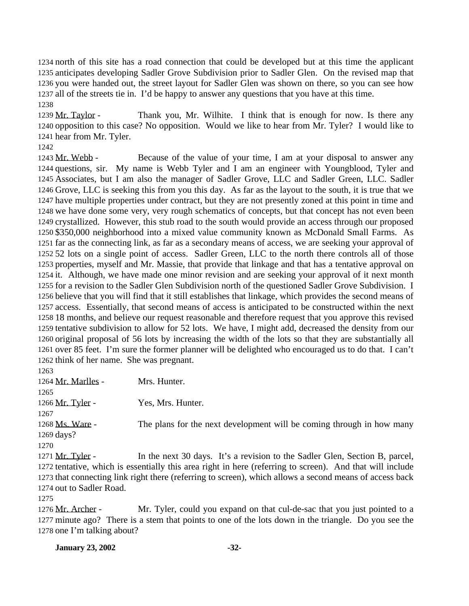north of this site has a road connection that could be developed but at this time the applicant anticipates developing Sadler Grove Subdivision prior to Sadler Glen. On the revised map that you were handed out, the street layout for Sadler Glen was shown on there, so you can see how all of the streets tie in. I'd be happy to answer any questions that you have at this time. 

 Mr. Taylor - Thank you, Mr. Wilhite. I think that is enough for now. Is there any opposition to this case? No opposition. Would we like to hear from Mr. Tyler? I would like to hear from Mr. Tyler.

1243 Mr. Webb - Because of the value of your time, I am at your disposal to answer any questions, sir. My name is Webb Tyler and I am an engineer with Youngblood, Tyler and Associates, but I am also the manager of Sadler Grove, LLC and Sadler Green, LLC. Sadler Grove, LLC is seeking this from you this day. As far as the layout to the south, it is true that we have multiple properties under contract, but they are not presently zoned at this point in time and we have done some very, very rough schematics of concepts, but that concept has not even been crystallized. However, this stub road to the south would provide an access through our proposed \$350,000 neighborhood into a mixed value community known as McDonald Small Farms. As far as the connecting link, as far as a secondary means of access, we are seeking your approval of 52 lots on a single point of access. Sadler Green, LLC to the north there controls all of those properties, myself and Mr. Massie, that provide that linkage and that has a tentative approval on it. Although, we have made one minor revision and are seeking your approval of it next month for a revision to the Sadler Glen Subdivision north of the questioned Sadler Grove Subdivision. I believe that you will find that it still establishes that linkage, which provides the second means of access. Essentially, that second means of access is anticipated to be constructed within the next 18 months, and believe our request reasonable and therefore request that you approve this revised tentative subdivision to allow for 52 lots. We have, I might add, decreased the density from our original proposal of 56 lots by increasing the width of the lots so that they are substantially all over 85 feet. I'm sure the former planner will be delighted who encouraged us to do that. I can't think of her name. She was pregnant.

 Mr. Marlles - Mrs. Hunter. 1266 Mr. Tyler - Yes, Mrs. Hunter. 1268 Ms. Ware - The plans for the next development will be coming through in how many days? 1271 Mr. Tyler - In the next 30 days. It's a revision to the Sadler Glen, Section B, parcel, tentative, which is essentially this area right in here (referring to screen). And that will include that connecting link right there (referring to screen), which allows a second means of access back out to Sadler Road.

1276 Mr. Archer - Mr. Tyler, could you expand on that cul-de-sac that you just pointed to a minute ago? There is a stem that points to one of the lots down in the triangle. Do you see the one I'm talking about?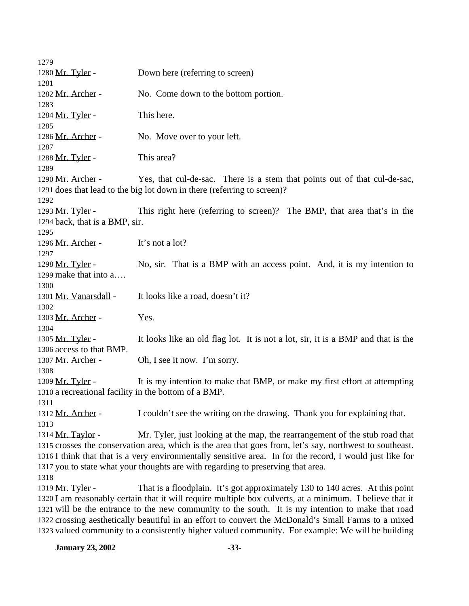| 1279                                                 |                                                                                                           |
|------------------------------------------------------|-----------------------------------------------------------------------------------------------------------|
| 1280 Mr. Tyler -                                     | Down here (referring to screen)                                                                           |
| 1281                                                 |                                                                                                           |
| 1282 Mr. Archer -                                    | No. Come down to the bottom portion.                                                                      |
| 1283                                                 |                                                                                                           |
| 1284 Mr. Tyler -                                     | This here.                                                                                                |
| 1285                                                 |                                                                                                           |
| 1286 Mr. Archer -                                    | No. Move over to your left.                                                                               |
| 1287                                                 |                                                                                                           |
| 1288 Mr. Tyler -                                     | This area?                                                                                                |
| 1289                                                 |                                                                                                           |
| 1290 Mr. Archer -                                    | Yes, that cul-de-sac. There is a stem that points out of that cul-de-sac,                                 |
|                                                      | 1291 does that lead to the big lot down in there (referring to screen)?                                   |
| 1292                                                 |                                                                                                           |
| 1293 Mr. Tyler -                                     | This right here (referring to screen)? The BMP, that area that's in the                                   |
| 1294 back, that is a BMP, sir.                       |                                                                                                           |
| 1295                                                 |                                                                                                           |
| 1296 Mr. Archer -                                    | It's not a lot?                                                                                           |
| 1297                                                 |                                                                                                           |
| 1298 Mr. Tyler -                                     | No, sir. That is a BMP with an access point. And, it is my intention to                                   |
| 1299 make that into a                                |                                                                                                           |
| 1300                                                 |                                                                                                           |
| 1301 Mr. Vanarsdall -                                | It looks like a road, doesn't it?                                                                         |
| 1302                                                 |                                                                                                           |
| 1303 Mr. Archer -                                    | Yes.                                                                                                      |
| 1304                                                 |                                                                                                           |
| 1305 Mr. Tyler -                                     | It looks like an old flag lot. It is not a lot, sir, it is a BMP and that is the                          |
| 1306 access to that BMP.                             |                                                                                                           |
| 1307 Mr. Archer -                                    | Oh, I see it now. I'm sorry.                                                                              |
| 1308                                                 |                                                                                                           |
| 1309 Mr. Tyler -                                     | It is my intention to make that BMP, or make my first effort at attempting                                |
| 1310 a recreational facility in the bottom of a BMP. |                                                                                                           |
| 1311                                                 |                                                                                                           |
| 1312 Mr. Archer -                                    | I couldn't see the writing on the drawing. Thank you for explaining that.                                 |
| 1313                                                 |                                                                                                           |
| 1314 Mr. Taylor -                                    | Mr. Tyler, just looking at the map, the rearrangement of the stub road that                               |
|                                                      | 1315 crosses the conservation area, which is the area that goes from, let's say, northwest to southeast.  |
|                                                      | 1316 I think that that is a very environmentally sensitive area. In for the record, I would just like for |
|                                                      | 1317 you to state what your thoughts are with regarding to preserving that area.                          |
| 1318                                                 |                                                                                                           |
| 1319 Mr. Tyler -                                     | That is a floodplain. It's got approximately 130 to 140 acres. At this point                              |
|                                                      | 1320 I am reasonably certain that it will require multiple box culverts, at a minimum. I believe that it  |
|                                                      | 1321 will be the entrance to the new community to the south. It is my intention to make that road         |
|                                                      | 1322 crossing aesthetically beautiful in an effort to convert the McDonald's Small Farms to a mixed       |
|                                                      | 1323 valued community to a consistently higher valued community. For example: We will be building         |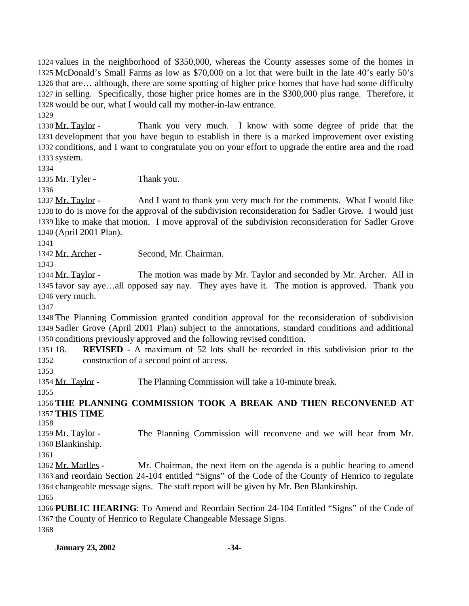values in the neighborhood of \$350,000, whereas the County assesses some of the homes in McDonald's Small Farms as low as \$70,000 on a lot that were built in the late 40's early 50's that are… although, there are some spotting of higher price homes that have had some difficulty in selling. Specifically, those higher price homes are in the \$300,000 plus range. Therefore, it would be our, what I would call my mother-in-law entrance. 

 Mr. Taylor - Thank you very much. I know with some degree of pride that the development that you have begun to establish in there is a marked improvement over existing conditions, and I want to congratulate you on your effort to upgrade the entire area and the road system.

1335 Mr. Tyler - Thank you.

 Mr. Taylor - And I want to thank you very much for the comments. What I would like to do is move for the approval of the subdivision reconsideration for Sadler Grove. I would just like to make that motion. I move approval of the subdivision reconsideration for Sadler Grove (April 2001 Plan).

Mr. Archer - Second, Mr. Chairman.

 Mr. Taylor - The motion was made by Mr. Taylor and seconded by Mr. Archer. All in favor say aye…all opposed say nay. They ayes have it. The motion is approved. Thank you very much.

 The Planning Commission granted condition approval for the reconsideration of subdivision Sadler Grove (April 2001 Plan) subject to the annotations, standard conditions and additional conditions previously approved and the following revised condition.

 18. **REVISED** - A maximum of 52 lots shall be recorded in this subdivision prior to the construction of a second point of access.

Mr. Taylor - The Planning Commission will take a 10-minute break.

# **THE PLANNING COMMISSION TOOK A BREAK AND THEN RECONVENED AT THIS TIME**

 Mr. Taylor - The Planning Commission will reconvene and we will hear from Mr. Blankinship.

1362 Mr. Marlles - Mr. Chairman, the next item on the agenda is a public hearing to amend and reordain Section 24-104 entitled "Signs" of the Code of the County of Henrico to regulate changeable message signs. The staff report will be given by Mr. Ben Blankinship.

 **PUBLIC HEARING**: To Amend and Reordain Section 24-104 Entitled "Signs" of the Code of the County of Henrico to Regulate Changeable Message Signs. 

**January 23, 2002 -34-**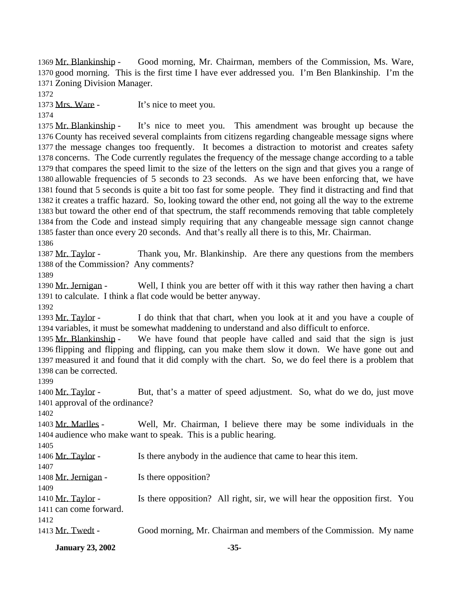Mr. Blankinship - Good morning, Mr. Chairman, members of the Commission, Ms. Ware, good morning. This is the first time I have ever addressed you. I'm Ben Blankinship. I'm the Zoning Division Manager.

1373 Mrs. Ware - It's nice to meet you.

 Mr. Blankinship - It's nice to meet you. This amendment was brought up because the County has received several complaints from citizens regarding changeable message signs where the message changes too frequently. It becomes a distraction to motorist and creates safety concerns. The Code currently regulates the frequency of the message change according to a table that compares the speed limit to the size of the letters on the sign and that gives you a range of allowable frequencies of 5 seconds to 23 seconds. As we have been enforcing that, we have found that 5 seconds is quite a bit too fast for some people. They find it distracting and find that it creates a traffic hazard. So, looking toward the other end, not going all the way to the extreme but toward the other end of that spectrum, the staff recommends removing that table completely from the Code and instead simply requiring that any changeable message sign cannot change faster than once every 20 seconds. And that's really all there is to this, Mr. Chairman.

1387 Mr. Taylor - Thank you, Mr. Blankinship. Are there any questions from the members of the Commission? Any comments?

 Mr. Jernigan - Well, I think you are better off with it this way rather then having a chart to calculate. I think a flat code would be better anyway.

 Mr. Taylor - I do think that that chart, when you look at it and you have a couple of variables, it must be somewhat maddening to understand and also difficult to enforce.

 Mr. Blankinship - We have found that people have called and said that the sign is just flipping and flipping and flipping, can you make them slow it down. We have gone out and measured it and found that it did comply with the chart. So, we do feel there is a problem that can be corrected.

 Mr. Taylor - But, that's a matter of speed adjustment. So, what do we do, just move approval of the ordinance?

 Mr. Marlles - Well, Mr. Chairman, I believe there may be some individuals in the audience who make want to speak. This is a public hearing.

| 1405                   |                                                                             |
|------------------------|-----------------------------------------------------------------------------|
| 1406 Mr. Taylor -      | Is there anybody in the audience that came to hear this item.               |
| 1407                   |                                                                             |
| 1408 Mr. Jernigan -    | Is there opposition?                                                        |
| 1409                   |                                                                             |
| 1410 Mr. Taylor -      | Is there opposition? All right, sir, we will hear the opposition first. You |
| 1411 can come forward. |                                                                             |
| 1412                   |                                                                             |
| 1413 Mr. Twedt -       | Good morning, Mr. Chairman and members of the Commission. My name           |
|                        |                                                                             |

**January 23, 2002 -35-**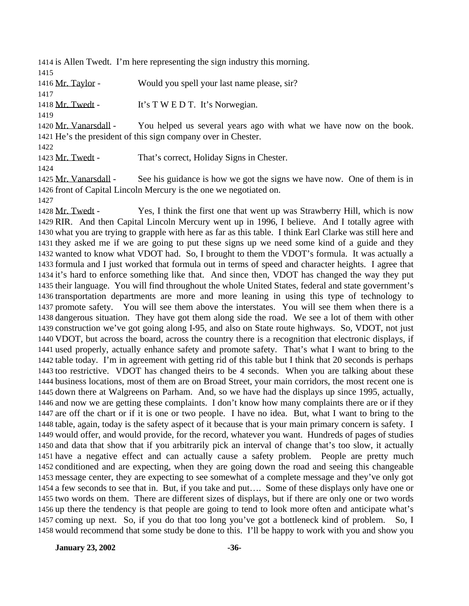is Allen Twedt. I'm here representing the sign industry this morning. 

1416 Mr. Taylor - Would you spell your last name please, sir?

1418 Mr. Twedt - It's T W E D T. It's Norwegian.

 Mr. Vanarsdall - You helped us several years ago with what we have now on the book. He's the president of this sign company over in Chester.

Mr. Twedt - That's correct, Holiday Signs in Chester.

1425 Mr. Vanarsdall - See his guidance is how we got the signs we have now. One of them is in front of Capital Lincoln Mercury is the one we negotiated on.

 Mr. Twedt - Yes, I think the first one that went up was Strawberry Hill, which is now RIR. And then Capital Lincoln Mercury went up in 1996, I believe. And I totally agree with what you are trying to grapple with here as far as this table. I think Earl Clarke was still here and they asked me if we are going to put these signs up we need some kind of a guide and they wanted to know what VDOT had. So, I brought to them the VDOT's formula. It was actually a formula and I just worked that formula out in terms of speed and character heights. I agree that it's hard to enforce something like that. And since then, VDOT has changed the way they put their language. You will find throughout the whole United States, federal and state government's transportation departments are more and more leaning in using this type of technology to promote safety. You will see them above the interstates. You will see them when there is a dangerous situation. They have got them along side the road. We see a lot of them with other construction we've got going along I-95, and also on State route highways. So, VDOT, not just VDOT, but across the board, across the country there is a recognition that electronic displays, if used properly, actually enhance safety and promote safety. That's what I want to bring to the table today. I'm in agreement with getting rid of this table but I think that 20 seconds is perhaps too restrictive. VDOT has changed theirs to be 4 seconds. When you are talking about these business locations, most of them are on Broad Street, your main corridors, the most recent one is down there at Walgreens on Parham. And, so we have had the displays up since 1995, actually, and now we are getting these complaints. I don't know how many complaints there are or if they are off the chart or if it is one or two people. I have no idea. But, what I want to bring to the table, again, today is the safety aspect of it because that is your main primary concern is safety. I would offer, and would provide, for the record, whatever you want. Hundreds of pages of studies and data that show that if you arbitrarily pick an interval of change that's too slow, it actually have a negative effect and can actually cause a safety problem. People are pretty much conditioned and are expecting, when they are going down the road and seeing this changeable message center, they are expecting to see somewhat of a complete message and they've only got a few seconds to see that in. But, if you take and put…. Some of these displays only have one or two words on them. There are different sizes of displays, but if there are only one or two words up there the tendency is that people are going to tend to look more often and anticipate what's coming up next. So, if you do that too long you've got a bottleneck kind of problem. So, I would recommend that some study be done to this. I'll be happy to work with you and show you

**January 23, 2002 -36-**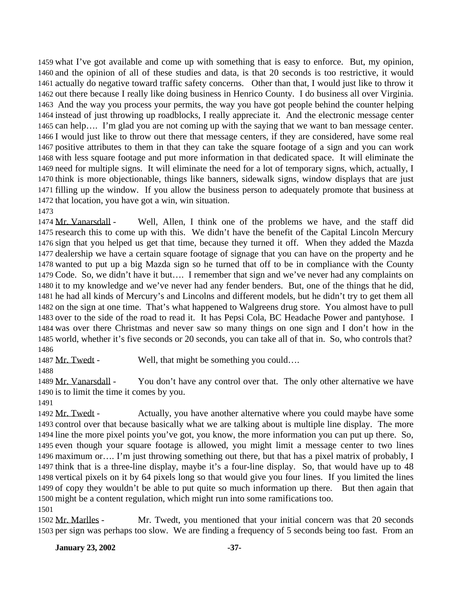what I've got available and come up with something that is easy to enforce. But, my opinion, and the opinion of all of these studies and data, is that 20 seconds is too restrictive, it would actually do negative toward traffic safety concerns. Other than that, I would just like to throw it out there because I really like doing business in Henrico County. I do business all over Virginia. And the way you process your permits, the way you have got people behind the counter helping instead of just throwing up roadblocks, I really appreciate it. And the electronic message center can help…. I'm glad you are not coming up with the saying that we want to ban message center. I would just like to throw out there that message centers, if they are considered, have some real positive attributes to them in that they can take the square footage of a sign and you can work with less square footage and put more information in that dedicated space. It will eliminate the need for multiple signs. It will eliminate the need for a lot of temporary signs, which, actually, I think is more objectionable, things like banners, sidewalk signs, window displays that are just filling up the window. If you allow the business person to adequately promote that business at that location, you have got a win, win situation. 

 Mr. Vanarsdall - Well, Allen, I think one of the problems we have, and the staff did research this to come up with this. We didn't have the benefit of the Capital Lincoln Mercury sign that you helped us get that time, because they turned it off. When they added the Mazda dealership we have a certain square footage of signage that you can have on the property and he wanted to put up a big Mazda sign so he turned that off to be in compliance with the County Code. So, we didn't have it but…. I remember that sign and we've never had any complaints on it to my knowledge and we've never had any fender benders. But, one of the things that he did, he had all kinds of Mercury's and Lincolns and different models, but he didn't try to get them all on the sign at one time. That's what happened to Walgreens drug store. You almost have to pull over to the side of the road to read it. It has Pepsi Cola, BC Headache Power and pantyhose. I was over there Christmas and never saw so many things on one sign and I don't how in the world, whether it's five seconds or 20 seconds, you can take all of that in. So, who controls that? 

1487 Mr. Twedt - Well, that might be something you could....

1489 Mr. Vanarsdall - You don't have any control over that. The only other alternative we have is to limit the time it comes by you.

1492 Mr. Twedt - Actually, you have another alternative where you could maybe have some control over that because basically what we are talking about is multiple line display. The more line the more pixel points you've got, you know, the more information you can put up there. So, even though your square footage is allowed, you might limit a message center to two lines maximum or…. I'm just throwing something out there, but that has a pixel matrix of probably, I think that is a three-line display, maybe it's a four-line display. So, that would have up to 48 vertical pixels on it by 64 pixels long so that would give you four lines. If you limited the lines of copy they wouldn't be able to put quite so much information up there. But then again that might be a content regulation, which might run into some ramifications too. 

 Mr. Marlles - Mr. Twedt, you mentioned that your initial concern was that 20 seconds per sign was perhaps too slow. We are finding a frequency of 5 seconds being too fast. From an

**January 23, 2002 -37-**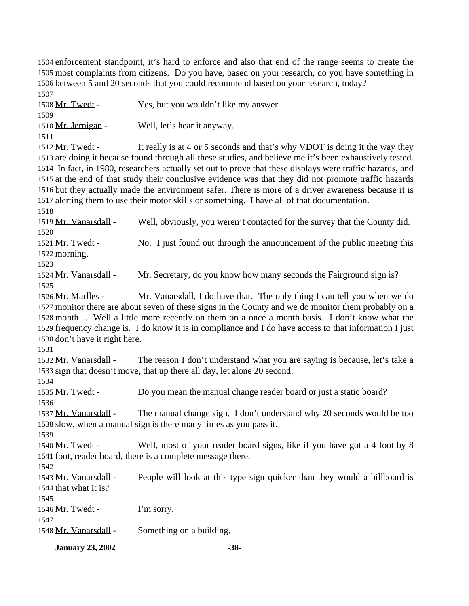enforcement standpoint, it's hard to enforce and also that end of the range seems to create the most complaints from citizens. Do you have, based on your research, do you have something in between 5 and 20 seconds that you could recommend based on your research, today? 

| 1 J V L                        |                                                                                                                                                                                                                        |  |  |
|--------------------------------|------------------------------------------------------------------------------------------------------------------------------------------------------------------------------------------------------------------------|--|--|
| 1508 Mr. Twedt -               | Yes, but you wouldn't like my answer.                                                                                                                                                                                  |  |  |
| 1509                           |                                                                                                                                                                                                                        |  |  |
| 1510 Mr. Jernigan -            | Well, let's hear it anyway.                                                                                                                                                                                            |  |  |
| 1511                           |                                                                                                                                                                                                                        |  |  |
| 1512 Mr. Twedt -               | It really is at 4 or 5 seconds and that's why VDOT is doing it the way they                                                                                                                                            |  |  |
|                                | 1513 are doing it because found through all these studies, and believe me it's been exhaustively tested.<br>1514 In fact, in 1980, researchers actually set out to prove that these displays were traffic hazards, and |  |  |
|                                | 1515 at the end of that study their conclusive evidence was that they did not promote traffic hazards                                                                                                                  |  |  |
|                                | 1516 but they actually made the environment safer. There is more of a driver awareness because it is                                                                                                                   |  |  |
|                                | 1517 alerting them to use their motor skills or something. I have all of that documentation.                                                                                                                           |  |  |
| 1518                           |                                                                                                                                                                                                                        |  |  |
| 1519 Mr. Vanarsdall -<br>1520  | Well, obviously, you weren't contacted for the survey that the County did.                                                                                                                                             |  |  |
| 1521 Mr. Twedt -               | No. I just found out through the announcement of the public meeting this                                                                                                                                               |  |  |
| 1522 morning.                  |                                                                                                                                                                                                                        |  |  |
| 1523                           |                                                                                                                                                                                                                        |  |  |
| 1524 Mr. Vanarsdall -          | Mr. Secretary, do you know how many seconds the Fairground sign is?                                                                                                                                                    |  |  |
| 1525                           |                                                                                                                                                                                                                        |  |  |
| 1526 Mr. Marlles -             | Mr. Vanarsdall, I do have that. The only thing I can tell you when we do                                                                                                                                               |  |  |
|                                | 1527 monitor there are about seven of these signs in the County and we do monitor them probably on a                                                                                                                   |  |  |
|                                | 1528 month Well a little more recently on them on a once a month basis. I don't know what the                                                                                                                          |  |  |
|                                | 1529 frequency change is. I do know it is in compliance and I do have access to that information I just                                                                                                                |  |  |
| 1530 don't have it right here. |                                                                                                                                                                                                                        |  |  |
| 1531                           |                                                                                                                                                                                                                        |  |  |
| 1532 Mr. Vanarsdall -          | The reason I don't understand what you are saying is because, let's take a                                                                                                                                             |  |  |
|                                | 1533 sign that doesn't move, that up there all day, let alone 20 second.                                                                                                                                               |  |  |
| 1534                           |                                                                                                                                                                                                                        |  |  |
| 1535 Mr. Twedt -               | Do you mean the manual change reader board or just a static board?                                                                                                                                                     |  |  |
| 1536                           |                                                                                                                                                                                                                        |  |  |
| 1537 Mr. Vanarsdall -          | The manual change sign. I don't understand why 20 seconds would be too                                                                                                                                                 |  |  |
|                                | 1538 slow, when a manual sign is there many times as you pass it.                                                                                                                                                      |  |  |
| 1539                           |                                                                                                                                                                                                                        |  |  |
| 1540 Mr. Twedt -               | Well, most of your reader board signs, like if you have got a 4 foot by 8                                                                                                                                              |  |  |
|                                | 1541 foot, reader board, there is a complete message there.                                                                                                                                                            |  |  |
| 1542                           |                                                                                                                                                                                                                        |  |  |
| 1543 Mr. Vanarsdall -          | People will look at this type sign quicker than they would a billboard is                                                                                                                                              |  |  |
| 1544 that what it is?          |                                                                                                                                                                                                                        |  |  |
| 1545                           |                                                                                                                                                                                                                        |  |  |
| 1546 Mr. Twedt -               | I'm sorry.                                                                                                                                                                                                             |  |  |
| 1547                           |                                                                                                                                                                                                                        |  |  |
| 1548 Mr. Vanarsdall -          | Something on a building.                                                                                                                                                                                               |  |  |
|                                |                                                                                                                                                                                                                        |  |  |

**January 23, 2002 -38-**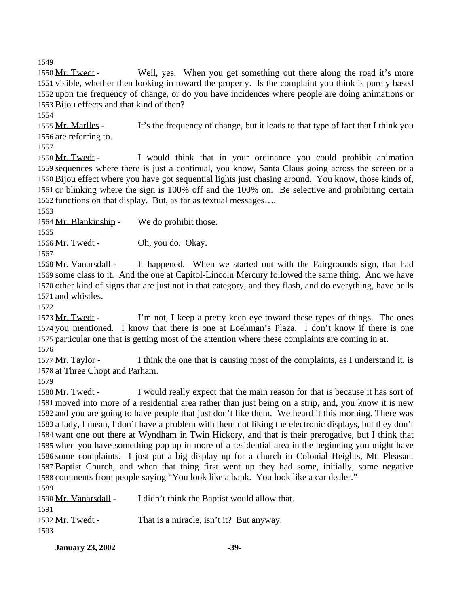Mr. Twedt - Well, yes. When you get something out there along the road it's more visible, whether then looking in toward the property. Is the complaint you think is purely based upon the frequency of change, or do you have incidences where people are doing animations or Bijou effects and that kind of then?

 Mr. Marlles - It's the frequency of change, but it leads to that type of fact that I think you are referring to.

 Mr. Twedt - I would think that in your ordinance you could prohibit animation sequences where there is just a continual, you know, Santa Claus going across the screen or a Bijou effect where you have got sequential lights just chasing around. You know, those kinds of, or blinking where the sign is 100% off and the 100% on. Be selective and prohibiting certain functions on that display. But, as far as textual messages….

Mr. Blankinship - We do prohibit those.

1566 Mr. Twedt - Oh, you do. Okay.

 Mr. Vanarsdall - It happened. When we started out with the Fairgrounds sign, that had some class to it. And the one at Capitol-Lincoln Mercury followed the same thing. And we have other kind of signs that are just not in that category, and they flash, and do everything, have bells and whistles.

 Mr. Twedt - I'm not, I keep a pretty keen eye toward these types of things. The ones you mentioned. I know that there is one at Loehman's Plaza. I don't know if there is one particular one that is getting most of the attention where these complaints are coming in at. 

1577 Mr. Taylor - I think the one that is causing most of the complaints, as I understand it, is at Three Chopt and Parham.

1580 Mr. Twedt - I would really expect that the main reason for that is because it has sort of moved into more of a residential area rather than just being on a strip, and, you know it is new and you are going to have people that just don't like them. We heard it this morning. There was a lady, I mean, I don't have a problem with them not liking the electronic displays, but they don't want one out there at Wyndham in Twin Hickory, and that is their prerogative, but I think that when you have something pop up in more of a residential area in the beginning you might have some complaints. I just put a big display up for a church in Colonial Heights, Mt. Pleasant Baptist Church, and when that thing first went up they had some, initially, some negative comments from people saying "You look like a bank. You look like a car dealer." 

| .                     |                                              |
|-----------------------|----------------------------------------------|
| 1590 Mr. Vanarsdall - | I didn't think the Baptist would allow that. |
| 1591                  |                                              |
| 1592 Mr. Twedt -      | That is a miracle, isn't it? But anyway.     |
| 1593                  |                                              |

**January 23, 2002** -39-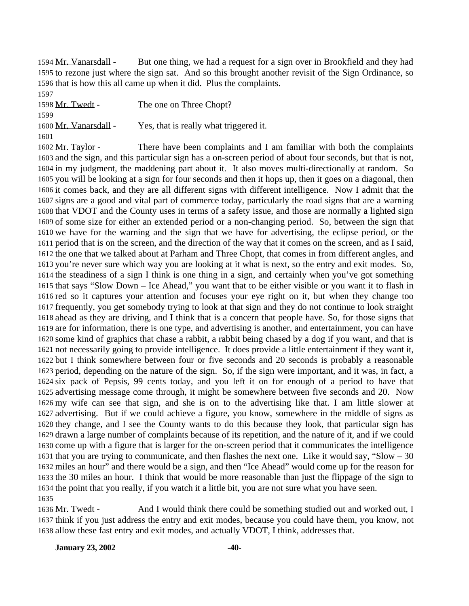Mr. Vanarsdall - But one thing, we had a request for a sign over in Brookfield and they had to rezone just where the sign sat. And so this brought another revisit of the Sign Ordinance, so that is how this all came up when it did. Plus the complaints. 

1598 Mr. Twedt - The one on Three Chopt? 1600 Mr. Vanarsdall - Yes, that is really what triggered it. 

1602 Mr. Taylor - There have been complaints and I am familiar with both the complaints and the sign, and this particular sign has a on-screen period of about four seconds, but that is not, in my judgment, the maddening part about it. It also moves multi-directionally at random. So you will be looking at a sign for four seconds and then it hops up, then it goes on a diagonal, then it comes back, and they are all different signs with different intelligence. Now I admit that the signs are a good and vital part of commerce today, particularly the road signs that are a warning that VDOT and the County uses in terms of a safety issue, and those are normally a lighted sign of some size for either an extended period or a non-changing period. So, between the sign that we have for the warning and the sign that we have for advertising, the eclipse period, or the period that is on the screen, and the direction of the way that it comes on the screen, and as I said, the one that we talked about at Parham and Three Chopt, that comes in from different angles, and you're never sure which way you are looking at it what is next, so the entry and exit modes. So, the steadiness of a sign I think is one thing in a sign, and certainly when you've got something that says "Slow Down – Ice Ahead," you want that to be either visible or you want it to flash in red so it captures your attention and focuses your eye right on it, but when they change too frequently, you get somebody trying to look at that sign and they do not continue to look straight ahead as they are driving, and I think that is a concern that people have. So, for those signs that are for information, there is one type, and advertising is another, and entertainment, you can have some kind of graphics that chase a rabbit, a rabbit being chased by a dog if you want, and that is not necessarily going to provide intelligence. It does provide a little entertainment if they want it, but I think somewhere between four or five seconds and 20 seconds is probably a reasonable period, depending on the nature of the sign. So, if the sign were important, and it was, in fact, a six pack of Pepsis, 99 cents today, and you left it on for enough of a period to have that advertising message come through, it might be somewhere between five seconds and 20. Now my wife can see that sign, and she is on to the advertising like that. I am little slower at advertising. But if we could achieve a figure, you know, somewhere in the middle of signs as they change, and I see the County wants to do this because they look, that particular sign has drawn a large number of complaints because of its repetition, and the nature of it, and if we could come up with a figure that is larger for the on-screen period that it communicates the intelligence that you are trying to communicate, and then flashes the next one. Like it would say, "Slow – 30 miles an hour" and there would be a sign, and then "Ice Ahead" would come up for the reason for the 30 miles an hour. I think that would be more reasonable than just the flippage of the sign to the point that you really, if you watch it a little bit, you are not sure what you have seen. 

1636 Mr. Twedt - And I would think there could be something studied out and worked out, I think if you just address the entry and exit modes, because you could have them, you know, not allow these fast entry and exit modes, and actually VDOT, I think, addresses that.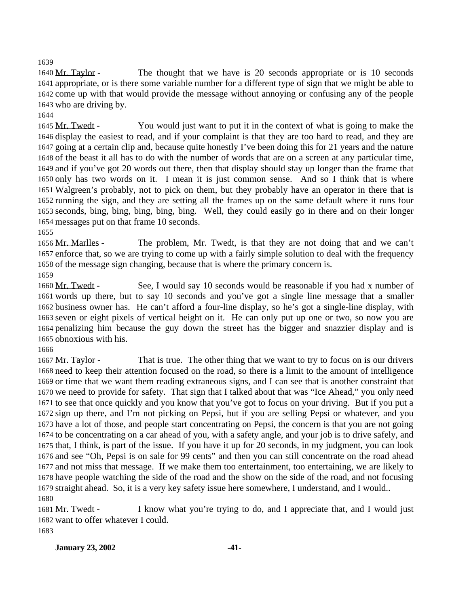### 

 Mr. Taylor - The thought that we have is 20 seconds appropriate or is 10 seconds appropriate, or is there some variable number for a different type of sign that we might be able to come up with that would provide the message without annoying or confusing any of the people who are driving by.

 Mr. Twedt - You would just want to put it in the context of what is going to make the display the easiest to read, and if your complaint is that they are too hard to read, and they are going at a certain clip and, because quite honestly I've been doing this for 21 years and the nature of the beast it all has to do with the number of words that are on a screen at any particular time, and if you've got 20 words out there, then that display should stay up longer than the frame that only has two words on it. I mean it is just common sense. And so I think that is where Walgreen's probably, not to pick on them, but they probably have an operator in there that is running the sign, and they are setting all the frames up on the same default where it runs four seconds, bing, bing, bing, bing, bing. Well, they could easily go in there and on their longer messages put on that frame 10 seconds.

 Mr. Marlles - The problem, Mr. Twedt, is that they are not doing that and we can't enforce that, so we are trying to come up with a fairly simple solution to deal with the frequency of the message sign changing, because that is where the primary concern is.

1660 Mr. Twedt - See, I would say 10 seconds would be reasonable if you had x number of words up there, but to say 10 seconds and you've got a single line message that a smaller business owner has. He can't afford a four-line display, so he's got a single-line display, with seven or eight pixels of vertical height on it. He can only put up one or two, so now you are penalizing him because the guy down the street has the bigger and snazzier display and is obnoxious with his.

1667 Mr. Taylor - That is true. The other thing that we want to try to focus on is our drivers need to keep their attention focused on the road, so there is a limit to the amount of intelligence or time that we want them reading extraneous signs, and I can see that is another constraint that we need to provide for safety. That sign that I talked about that was "Ice Ahead," you only need to see that once quickly and you know that you've got to focus on your driving. But if you put a sign up there, and I'm not picking on Pepsi, but if you are selling Pepsi or whatever, and you have a lot of those, and people start concentrating on Pepsi, the concern is that you are not going to be concentrating on a car ahead of you, with a safety angle, and your job is to drive safely, and that, I think, is part of the issue. If you have it up for 20 seconds, in my judgment, you can look and see "Oh, Pepsi is on sale for 99 cents" and then you can still concentrate on the road ahead and not miss that message. If we make them too entertainment, too entertaining, we are likely to have people watching the side of the road and the show on the side of the road, and not focusing straight ahead. So, it is a very key safety issue here somewhere, I understand, and I would.. 

1681 Mr. Twedt - I know what you're trying to do, and I appreciate that, and I would just want to offer whatever I could.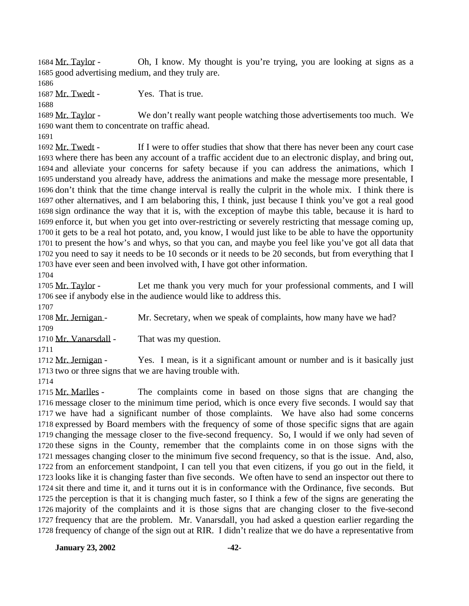Mr. Taylor - Oh, I know. My thought is you're trying, you are looking at signs as a good advertising medium, and they truly are.

1687 Mr. Twedt - Yes. That is true.

 Mr. Taylor - We don't really want people watching those advertisements too much. We want them to concentrate on traffic ahead.

1692 Mr. Twedt - If I were to offer studies that show that there has never been any court case where there has been any account of a traffic accident due to an electronic display, and bring out, and alleviate your concerns for safety because if you can address the animations, which I understand you already have, address the animations and make the message more presentable, I don't think that the time change interval is really the culprit in the whole mix. I think there is other alternatives, and I am belaboring this, I think, just because I think you've got a real good sign ordinance the way that it is, with the exception of maybe this table, because it is hard to enforce it, but when you get into over-restricting or severely restricting that message coming up, it gets to be a real hot potato, and, you know, I would just like to be able to have the opportunity to present the how's and whys, so that you can, and maybe you feel like you've got all data that you need to say it needs to be 10 seconds or it needs to be 20 seconds, but from everything that I have ever seen and been involved with, I have got other information.

1705 Mr. Taylor - Let me thank you very much for your professional comments, and I will see if anybody else in the audience would like to address this.

1708 Mr. Jernigan - Mr. Secretary, when we speak of complaints, how many have we had? 

1710 Mr. Vanarsdall - That was my question.

1712 Mr. Jernigan - Yes. I mean, is it a significant amount or number and is it basically just two or three signs that we are having trouble with.

1715 Mr. Marlles - The complaints come in based on those signs that are changing the message closer to the minimum time period, which is once every five seconds. I would say that we have had a significant number of those complaints. We have also had some concerns expressed by Board members with the frequency of some of those specific signs that are again changing the message closer to the five-second frequency. So, I would if we only had seven of these signs in the County, remember that the complaints come in on those signs with the messages changing closer to the minimum five second frequency, so that is the issue. And, also, from an enforcement standpoint, I can tell you that even citizens, if you go out in the field, it looks like it is changing faster than five seconds. We often have to send an inspector out there to sit there and time it, and it turns out it is in conformance with the Ordinance, five seconds. But the perception is that it is changing much faster, so I think a few of the signs are generating the majority of the complaints and it is those signs that are changing closer to the five-second frequency that are the problem. Mr. Vanarsdall, you had asked a question earlier regarding the frequency of change of the sign out at RIR. I didn't realize that we do have a representative from

**January 23, 2002 -42-**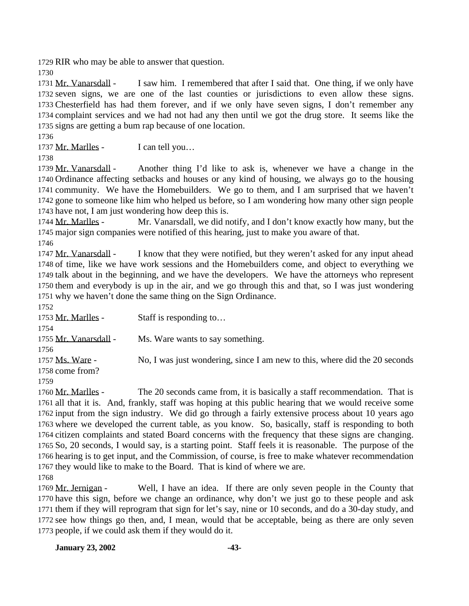RIR who may be able to answer that question.

 Mr. Vanarsdall - I saw him. I remembered that after I said that. One thing, if we only have seven signs, we are one of the last counties or jurisdictions to even allow these signs. Chesterfield has had them forever, and if we only have seven signs, I don't remember any complaint services and we had not had any then until we got the drug store. It seems like the signs are getting a bum rap because of one location.

1737 Mr. Marlles - I can tell you...

 Mr. Vanarsdall - Another thing I'd like to ask is, whenever we have a change in the Ordinance affecting setbacks and houses or any kind of housing, we always go to the housing community. We have the Homebuilders. We go to them, and I am surprised that we haven't gone to someone like him who helped us before, so I am wondering how many other sign people have not, I am just wondering how deep this is.

 Mr. Marlles - Mr. Vanarsdall, we did notify, and I don't know exactly how many, but the major sign companies were notified of this hearing, just to make you aware of that.

 Mr. Vanarsdall - I know that they were notified, but they weren't asked for any input ahead of time, like we have work sessions and the Homebuilders come, and object to everything we talk about in the beginning, and we have the developers. We have the attorneys who represent them and everybody is up in the air, and we go through this and that, so I was just wondering why we haven't done the same thing on the Sign Ordinance.

1753 Mr. Marlles - Staff is responding to... 1755 Mr. Vanarsdall - Ms. Ware wants to say something. 1757 Ms. Ware - No, I was just wondering, since I am new to this, where did the 20 seconds come from? 

1760 Mr. Marlles - The 20 seconds came from, it is basically a staff recommendation. That is all that it is. And, frankly, staff was hoping at this public hearing that we would receive some input from the sign industry. We did go through a fairly extensive process about 10 years ago where we developed the current table, as you know. So, basically, staff is responding to both citizen complaints and stated Board concerns with the frequency that these signs are changing. So, 20 seconds, I would say, is a starting point. Staff feels it is reasonable. The purpose of the hearing is to get input, and the Commission, of course, is free to make whatever recommendation they would like to make to the Board. That is kind of where we are. 

1769 Mr. Jernigan - Well, I have an idea. If there are only seven people in the County that have this sign, before we change an ordinance, why don't we just go to these people and ask them if they will reprogram that sign for let's say, nine or 10 seconds, and do a 30-day study, and see how things go then, and, I mean, would that be acceptable, being as there are only seven people, if we could ask them if they would do it.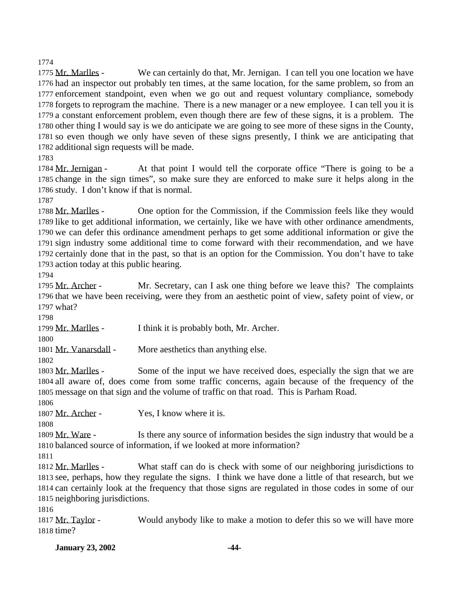Mr. Marlles - We can certainly do that, Mr. Jernigan. I can tell you one location we have had an inspector out probably ten times, at the same location, for the same problem, so from an enforcement standpoint, even when we go out and request voluntary compliance, somebody forgets to reprogram the machine. There is a new manager or a new employee. I can tell you it is a constant enforcement problem, even though there are few of these signs, it is a problem. The other thing I would say is we do anticipate we are going to see more of these signs in the County, so even though we only have seven of these signs presently, I think we are anticipating that additional sign requests will be made.

1784 Mr. Jernigan - At that point I would tell the corporate office "There is going to be a change in the sign times", so make sure they are enforced to make sure it helps along in the study. I don't know if that is normal.

 Mr. Marlles - One option for the Commission, if the Commission feels like they would like to get additional information, we certainly, like we have with other ordinance amendments, we can defer this ordinance amendment perhaps to get some additional information or give the sign industry some additional time to come forward with their recommendation, and we have certainly done that in the past, so that is an option for the Commission. You don't have to take action today at this public hearing.

1795 Mr. Archer - Mr. Secretary, can I ask one thing before we leave this? The complaints that we have been receiving, were they from an aesthetic point of view, safety point of view, or what?

Mr. Marlles - I think it is probably both, Mr. Archer.

1801 Mr. Vanarsdall - More aesthetics than anything else.

 Mr. Marlles - Some of the input we have received does, especially the sign that we are all aware of, does come from some traffic concerns, again because of the frequency of the message on that sign and the volume of traffic on that road. This is Parham Road.

1807 Mr. Archer - Yes, I know where it is.

1809 Mr. Ware - Is there any source of information besides the sign industry that would be a balanced source of information, if we looked at more information?

 Mr. Marlles - What staff can do is check with some of our neighboring jurisdictions to see, perhaps, how they regulate the signs. I think we have done a little of that research, but we can certainly look at the frequency that those signs are regulated in those codes in some of our neighboring jurisdictions.

1817 Mr. Taylor - Would anybody like to make a motion to defer this so we will have more time?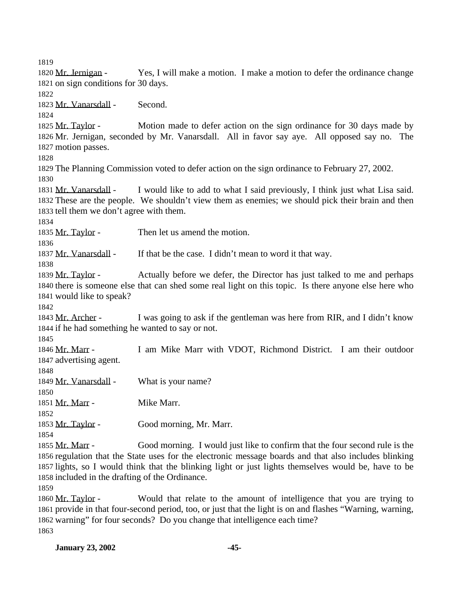Mr. Jernigan - Yes, I will make a motion. I make a motion to defer the ordinance change on sign conditions for 30 days. Mr. Vanarsdall - Second. Mr. Taylor - Motion made to defer action on the sign ordinance for 30 days made by Mr. Jernigan, seconded by Mr. Vanarsdall. All in favor say aye. All opposed say no. The motion passes. The Planning Commission voted to defer action on the sign ordinance to February 27, 2002. Mr. Vanarsdall - I would like to add to what I said previously, I think just what Lisa said. These are the people. We shouldn't view them as enemies; we should pick their brain and then tell them we don't agree with them. 1835 Mr. Taylor - Then let us amend the motion. 1837 Mr. Vanarsdall - If that be the case. I didn't mean to word it that way. Mr. Taylor - Actually before we defer, the Director has just talked to me and perhaps there is someone else that can shed some real light on this topic. Is there anyone else here who would like to speak? 1843 Mr. Archer - I was going to ask if the gentleman was here from RIR, and I didn't know if he had something he wanted to say or not. Mr. Marr - I am Mike Marr with VDOT, Richmond District. I am their outdoor advertising agent. 1849 Mr. Vanarsdall - What is your name? Mr. Marr - Mike Marr. 1853 Mr. Taylor - Good morning, Mr. Marr. Mr. Marr - Good morning. I would just like to confirm that the four second rule is the regulation that the State uses for the electronic message boards and that also includes blinking lights, so I would think that the blinking light or just lights themselves would be, have to be

included in the drafting of the Ordinance.

1860 Mr. Taylor - Would that relate to the amount of intelligence that you are trying to provide in that four-second period, too, or just that the light is on and flashes "Warning, warning, warning" for four seconds? Do you change that intelligence each time?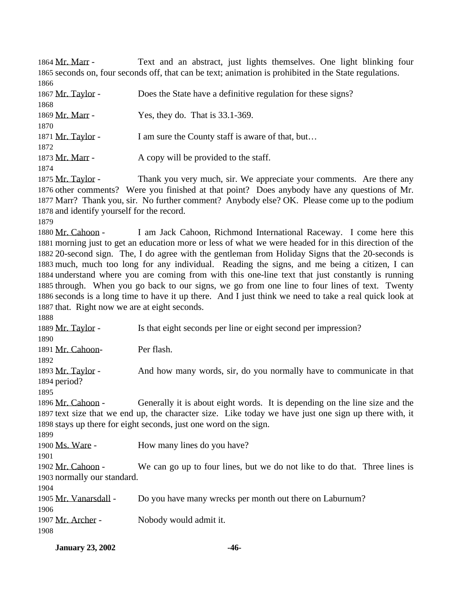1864 Mr. Marr - Text and an abstract, just lights themselves. One light blinking four seconds on, four seconds off, that can be text; animation is prohibited in the State regulations. 

| 1867 Mr. Taylor - | Does the State have a definitive regulation for these signs? |
|-------------------|--------------------------------------------------------------|
| 1868              |                                                              |
| 1869 Mr. Marr -   | Yes, they do. That is $33.1-369$ .                           |
| 1870              |                                                              |
| 1871 Mr. Taylor - | I am sure the County staff is aware of that, but             |
| 1872              |                                                              |
| 1873 Mr. Marr -   | A copy will be provided to the staff.                        |
| 1874              |                                                              |

1875 Mr. Taylor - Thank you very much, sir. We appreciate your comments. Are there any other comments? Were you finished at that point? Does anybody have any questions of Mr. Marr? Thank you, sir. No further comment? Anybody else? OK. Please come up to the podium and identify yourself for the record.

 Mr. Cahoon - I am Jack Cahoon, Richmond International Raceway. I come here this morning just to get an education more or less of what we were headed for in this direction of the 20-second sign. The, I do agree with the gentleman from Holiday Signs that the 20-seconds is much, much too long for any individual. Reading the signs, and me being a citizen, I can understand where you are coming from with this one-line text that just constantly is running through. When you go back to our signs, we go from one line to four lines of text. Twenty seconds is a long time to have it up there. And I just think we need to take a real quick look at that. Right now we are at eight seconds.

1889 Mr. Taylor - Is that eight seconds per line or eight second per impression? Mr. Cahoon- Per flash. Mr. Taylor - And how many words, sir, do you normally have to communicate in that period? 1896 Mr. Cahoon - Generally it is about eight words. It is depending on the line size and the text size that we end up, the character size. Like today we have just one sign up there with, it stays up there for eight seconds, just one word on the sign. 1900 Ms. Ware - How many lines do you have? Mr. Cahoon - We can go up to four lines, but we do not like to do that. Three lines is normally our standard. Mr. Vanarsdall - Do you have many wrecks per month out there on Laburnum? Mr. Archer - Nobody would admit it.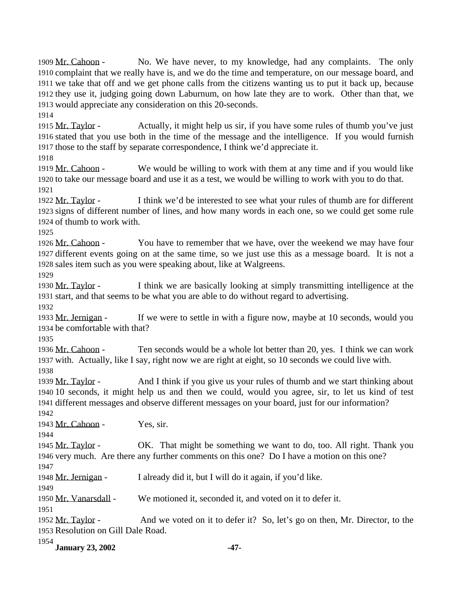**January 23, 2002 -47-** Mr. Cahoon - No. We have never, to my knowledge, had any complaints. The only complaint that we really have is, and we do the time and temperature, on our message board, and we take that off and we get phone calls from the citizens wanting us to put it back up, because they use it, judging going down Laburnum, on how late they are to work. Other than that, we would appreciate any consideration on this 20-seconds. 1915 Mr. Taylor - Actually, it might help us sir, if you have some rules of thumb you've just stated that you use both in the time of the message and the intelligence. If you would furnish those to the staff by separate correspondence, I think we'd appreciate it. 1919 Mr. Cahoon - We would be willing to work with them at any time and if you would like to take our message board and use it as a test, we would be willing to work with you to do that. Mr. Taylor - I think we'd be interested to see what your rules of thumb are for different signs of different number of lines, and how many words in each one, so we could get some rule of thumb to work with. 1926 Mr. Cahoon - You have to remember that we have, over the weekend we may have four different events going on at the same time, so we just use this as a message board. It is not a sales item such as you were speaking about, like at Walgreens. Mr. Taylor - I think we are basically looking at simply transmitting intelligence at the start, and that seems to be what you are able to do without regard to advertising. 1933 Mr. Jernigan - If we were to settle in with a figure now, maybe at 10 seconds, would you be comfortable with that? 1936 Mr. Cahoon - Ten seconds would be a whole lot better than 20, yes. I think we can work with. Actually, like I say, right now we are right at eight, so 10 seconds we could live with. Mr. Taylor - And I think if you give us your rules of thumb and we start thinking about 10 seconds, it might help us and then we could, would you agree, sir, to let us kind of test different messages and observe different messages on your board, just for our information? Mr. Cahoon - Yes, sir. 1945 Mr. Taylor - OK. That might be something we want to do, too. All right. Thank you very much. Are there any further comments on this one? Do I have a motion on this one? Mr. Jernigan - I already did it, but I will do it again, if you'd like. Mr. Vanarsdall - We motioned it, seconded it, and voted on it to defer it. Mr. Taylor - And we voted on it to defer it? So, let's go on then, Mr. Director, to the Resolution on Gill Dale Road.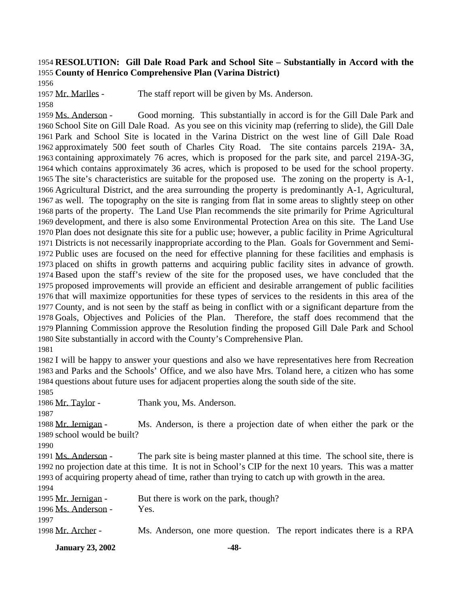# **RESOLUTION: Gill Dale Road Park and School Site – Substantially in Accord with the County of Henrico Comprehensive Plan (Varina District)**

Mr. Marlles - The staff report will be given by Ms. Anderson.

 Ms. Anderson - Good morning. This substantially in accord is for the Gill Dale Park and School Site on Gill Dale Road. As you see on this vicinity map (referring to slide), the Gill Dale Park and School Site is located in the Varina District on the west line of Gill Dale Road approximately 500 feet south of Charles City Road. The site contains parcels 219A- 3A, containing approximately 76 acres, which is proposed for the park site, and parcel 219A-3G, which contains approximately 36 acres, which is proposed to be used for the school property. The site's characteristics are suitable for the proposed use. The zoning on the property is A-1, Agricultural District, and the area surrounding the property is predominantly A-1, Agricultural, as well. The topography on the site is ranging from flat in some areas to slightly steep on other parts of the property. The Land Use Plan recommends the site primarily for Prime Agricultural development, and there is also some Environmental Protection Area on this site. The Land Use Plan does not designate this site for a public use; however, a public facility in Prime Agricultural Districts is not necessarily inappropriate according to the Plan. Goals for Government and Semi- Public uses are focused on the need for effective planning for these facilities and emphasis is placed on shifts in growth patterns and acquiring public facility sites in advance of growth. Based upon the staff's review of the site for the proposed uses, we have concluded that the proposed improvements will provide an efficient and desirable arrangement of public facilities that will maximize opportunities for these types of services to the residents in this area of the County, and is not seen by the staff as being in conflict with or a significant departure from the Goals, Objectives and Policies of the Plan. Therefore, the staff does recommend that the Planning Commission approve the Resolution finding the proposed Gill Dale Park and School Site substantially in accord with the County's Comprehensive Plan.

 I will be happy to answer your questions and also we have representatives here from Recreation and Parks and the Schools' Office, and we also have Mrs. Toland here, a citizen who has some questions about future uses for adjacent properties along the south side of the site.

1986 Mr. Taylor - Thank you, Ms. Anderson. Mr. Jernigan - Ms. Anderson, is there a projection date of when either the park or the school would be built? Ms. Anderson - The park site is being master planned at this time. The school site, there is no projection date at this time. It is not in School's CIP for the next 10 years. This was a matter of acquiring property ahead of time, rather than trying to catch up with growth in the area. 1995 Mr. Jernigan - But there is work on the park, though? 1996 Ms. Anderson - Yes. Mr. Archer - Ms. Anderson, one more question. The report indicates there is a RPA

**January 23, 2002 -48-**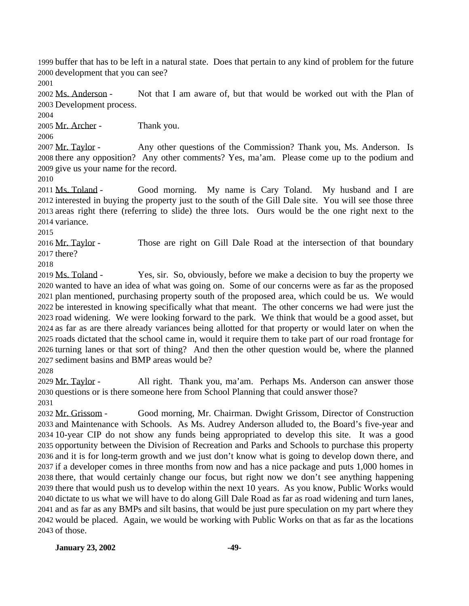buffer that has to be left in a natural state. Does that pertain to any kind of problem for the future development that you can see?

 Ms. Anderson - Not that I am aware of, but that would be worked out with the Plan of Development process.

Mr. Archer - Thank you.

2007 Mr. Taylor - Any other questions of the Commission? Thank you, Ms. Anderson. Is there any opposition? Any other comments? Yes, ma'am. Please come up to the podium and give us your name for the record.

 Ms. Toland - Good morning. My name is Cary Toland. My husband and I are interested in buying the property just to the south of the Gill Dale site. You will see those three areas right there (referring to slide) the three lots. Ours would be the one right next to the variance.

2016 Mr. Taylor - Those are right on Gill Dale Road at the intersection of that boundary there?

 Ms. Toland - Yes, sir. So, obviously, before we make a decision to buy the property we wanted to have an idea of what was going on. Some of our concerns were as far as the proposed plan mentioned, purchasing property south of the proposed area, which could be us. We would be interested in knowing specifically what that meant. The other concerns we had were just the road widening. We were looking forward to the park. We think that would be a good asset, but as far as are there already variances being allotted for that property or would later on when the roads dictated that the school came in, would it require them to take part of our road frontage for turning lanes or that sort of thing? And then the other question would be, where the planned sediment basins and BMP areas would be?

 Mr. Taylor - All right. Thank you, ma'am. Perhaps Ms. Anderson can answer those questions or is there someone here from School Planning that could answer those?

 Mr. Grissom - Good morning, Mr. Chairman. Dwight Grissom, Director of Construction and Maintenance with Schools. As Ms. Audrey Anderson alluded to, the Board's five-year and 10-year CIP do not show any funds being appropriated to develop this site. It was a good opportunity between the Division of Recreation and Parks and Schools to purchase this property and it is for long-term growth and we just don't know what is going to develop down there, and if a developer comes in three months from now and has a nice package and puts 1,000 homes in there, that would certainly change our focus, but right now we don't see anything happening there that would push us to develop within the next 10 years. As you know, Public Works would dictate to us what we will have to do along Gill Dale Road as far as road widening and turn lanes, and as far as any BMPs and silt basins, that would be just pure speculation on my part where they would be placed. Again, we would be working with Public Works on that as far as the locations of those.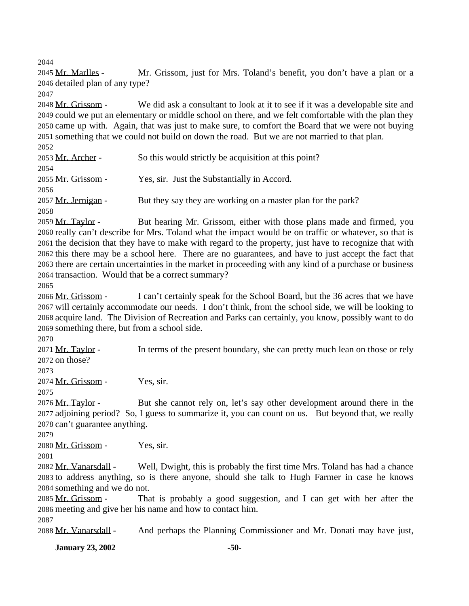Mr. Marlles - Mr. Grissom, just for Mrs. Toland's benefit, you don't have a plan or a detailed plan of any type?

 Mr. Grissom - We did ask a consultant to look at it to see if it was a developable site and could we put an elementary or middle school on there, and we felt comfortable with the plan they came up with. Again, that was just to make sure, to comfort the Board that we were not buying something that we could not build on down the road. But we are not married to that plan. 

| 2053 Mr. Archer -   | So this would strictly be acquisition at this point?         |
|---------------------|--------------------------------------------------------------|
| 2054                |                                                              |
| 2055 Mr. Grissom -  | Yes, sir. Just the Substantially in Accord.                  |
| 2056                |                                                              |
| 2057 Mr. Jernigan - | But they say they are working on a master plan for the park? |
| 2058                |                                                              |

2059 Mr. Taylor - But hearing Mr. Grissom, either with those plans made and firmed, you really can't describe for Mrs. Toland what the impact would be on traffic or whatever, so that is the decision that they have to make with regard to the property, just have to recognize that with this there may be a school here. There are no guarantees, and have to just accept the fact that there are certain uncertainties in the market in proceeding with any kind of a purchase or business transaction. Would that be a correct summary?

 Mr. Grissom - I can't certainly speak for the School Board, but the 36 acres that we have will certainly accommodate our needs. I don't think, from the school side, we will be looking to acquire land. The Division of Recreation and Parks can certainly, you know, possibly want to do something there, but from a school side.

2071 Mr. Taylor - In terms of the present boundary, she can pretty much lean on those or rely on those?

Mr. Grissom - Yes, sir.

 Mr. Taylor - But she cannot rely on, let's say other development around there in the adjoining period? So, I guess to summarize it, you can count on us. But beyond that, we really can't guarantee anything.

Mr. Grissom - Yes, sir.

 Mr. Vanarsdall - Well, Dwight, this is probably the first time Mrs. Toland has had a chance to address anything, so is there anyone, should she talk to Hugh Farmer in case he knows something and we do not.

2085 Mr. Grissom - That is probably a good suggestion, and I can get with her after the meeting and give her his name and how to contact him.

Mr. Vanarsdall - And perhaps the Planning Commissioner and Mr. Donati may have just,

**January 23, 2002** -50-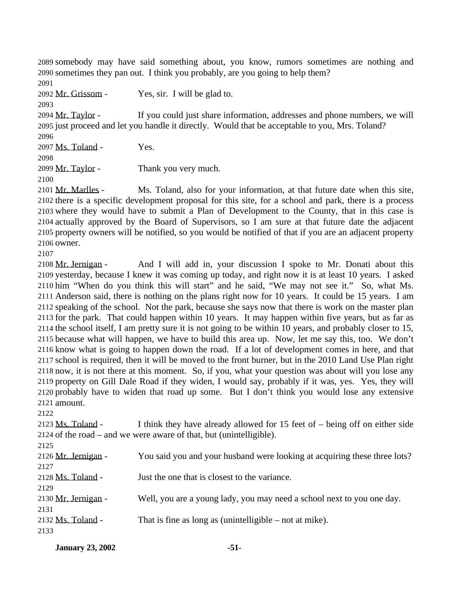somebody may have said something about, you know, rumors sometimes are nothing and sometimes they pan out. I think you probably, are you going to help them? 

Mr. Grissom - Yes, sir. I will be glad to.

 Mr. Taylor - If you could just share information, addresses and phone numbers, we will just proceed and let you handle it directly. Would that be acceptable to you, Mrs. Toland?

Ms. Toland - Yes.

2099 Mr. Taylor - Thank you very much.

 Mr. Marlles - Ms. Toland, also for your information, at that future date when this site, there is a specific development proposal for this site, for a school and park, there is a process where they would have to submit a Plan of Development to the County, that in this case is actually approved by the Board of Supervisors, so I am sure at that future date the adjacent property owners will be notified, so you would be notified of that if you are an adjacent property owner.

 Mr. Jernigan - And I will add in, your discussion I spoke to Mr. Donati about this yesterday, because I knew it was coming up today, and right now it is at least 10 years. I asked him "When do you think this will start" and he said, "We may not see it." So, what Ms. Anderson said, there is nothing on the plans right now for 10 years. It could be 15 years. I am speaking of the school. Not the park, because she says now that there is work on the master plan for the park. That could happen within 10 years. It may happen within five years, but as far as the school itself, I am pretty sure it is not going to be within 10 years, and probably closer to 15, because what will happen, we have to build this area up. Now, let me say this, too. We don't know what is going to happen down the road. If a lot of development comes in here, and that school is required, then it will be moved to the front burner, but in the 2010 Land Use Plan right now, it is not there at this moment. So, if you, what your question was about will you lose any property on Gill Dale Road if they widen, I would say, probably if it was, yes. Yes, they will probably have to widen that road up some. But I don't think you would lose any extensive amount.

2123 Ms. Toland - I think they have already allowed for 15 feet of  $-$  being off on either side of the road – and we were aware of that, but (unintelligible).

| $\sim$ 1 $\sim$ 1   |                                                                           |
|---------------------|---------------------------------------------------------------------------|
| 2126 Mr. Jernigan - | You said you and your husband were looking at acquiring these three lots? |
| 2127                |                                                                           |
| 2128 Ms. Toland -   | Just the one that is closest to the variance.                             |
| 2129                |                                                                           |
| 2130 Mr. Jernigan - | Well, you are a young lady, you may need a school next to you one day.    |
| 2131                |                                                                           |
| 2132 Ms. Toland -   | That is fine as long as (unintelligible $-$ not at mike).                 |
| 2133                |                                                                           |

| <b>January 23, 2002</b> | -51- |
|-------------------------|------|
|                         |      |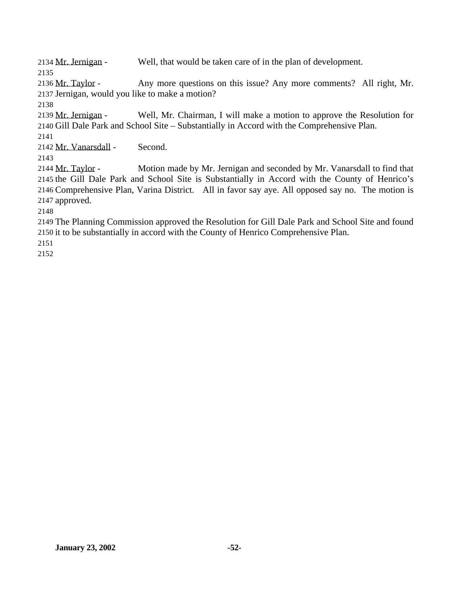Mr. Jernigan - Well, that would be taken care of in the plan of development. 

2136 Mr. Taylor - Any more questions on this issue? Any more comments? All right, Mr. Jernigan, would you like to make a motion?

 Mr. Jernigan - Well, Mr. Chairman, I will make a motion to approve the Resolution for Gill Dale Park and School Site – Substantially in Accord with the Comprehensive Plan.

Mr. Vanarsdall - Second.

 Mr. Taylor - Motion made by Mr. Jernigan and seconded by Mr. Vanarsdall to find that the Gill Dale Park and School Site is Substantially in Accord with the County of Henrico's Comprehensive Plan, Varina District. All in favor say aye. All opposed say no. The motion is approved.

 The Planning Commission approved the Resolution for Gill Dale Park and School Site and found it to be substantially in accord with the County of Henrico Comprehensive Plan.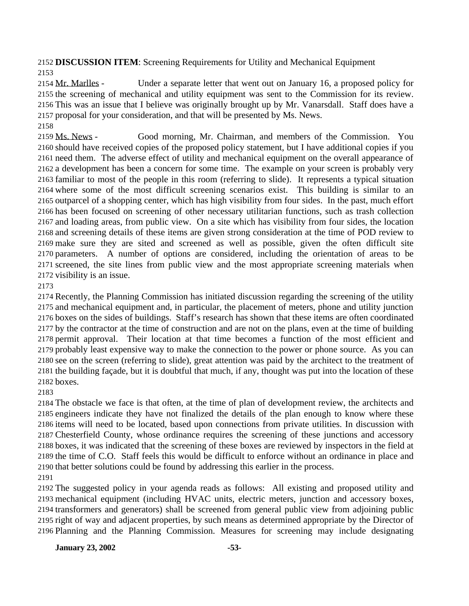**DISCUSSION ITEM**: Screening Requirements for Utility and Mechanical Equipment 

2154 Mr. Marlles - Under a separate letter that went out on January 16, a proposed policy for the screening of mechanical and utility equipment was sent to the Commission for its review. This was an issue that I believe was originally brought up by Mr. Vanarsdall. Staff does have a proposal for your consideration, and that will be presented by Ms. News.

 Ms. News - Good morning, Mr. Chairman, and members of the Commission. You should have received copies of the proposed policy statement, but I have additional copies if you need them. The adverse effect of utility and mechanical equipment on the overall appearance of a development has been a concern for some time. The example on your screen is probably very familiar to most of the people in this room (referring to slide). It represents a typical situation where some of the most difficult screening scenarios exist. This building is similar to an outparcel of a shopping center, which has high visibility from four sides. In the past, much effort has been focused on screening of other necessary utilitarian functions, such as trash collection and loading areas, from public view. On a site which has visibility from four sides, the location and screening details of these items are given strong consideration at the time of POD review to make sure they are sited and screened as well as possible, given the often difficult site parameters. A number of options are considered, including the orientation of areas to be screened, the site lines from public view and the most appropriate screening materials when visibility is an issue.

 Recently, the Planning Commission has initiated discussion regarding the screening of the utility and mechanical equipment and, in particular, the placement of meters, phone and utility junction boxes on the sides of buildings. Staff's research has shown that these items are often coordinated by the contractor at the time of construction and are not on the plans, even at the time of building permit approval. Their location at that time becomes a function of the most efficient and probably least expensive way to make the connection to the power or phone source. As you can see on the screen (referring to slide), great attention was paid by the architect to the treatment of the building façade, but it is doubtful that much, if any, thought was put into the location of these boxes.

 The obstacle we face is that often, at the time of plan of development review, the architects and engineers indicate they have not finalized the details of the plan enough to know where these items will need to be located, based upon connections from private utilities. In discussion with Chesterfield County, whose ordinance requires the screening of these junctions and accessory boxes, it was indicated that the screening of these boxes are reviewed by inspectors in the field at the time of C.O. Staff feels this would be difficult to enforce without an ordinance in place and that better solutions could be found by addressing this earlier in the process.

 The suggested policy in your agenda reads as follows: All existing and proposed utility and mechanical equipment (including HVAC units, electric meters, junction and accessory boxes, transformers and generators) shall be screened from general public view from adjoining public right of way and adjacent properties, by such means as determined appropriate by the Director of Planning and the Planning Commission. Measures for screening may include designating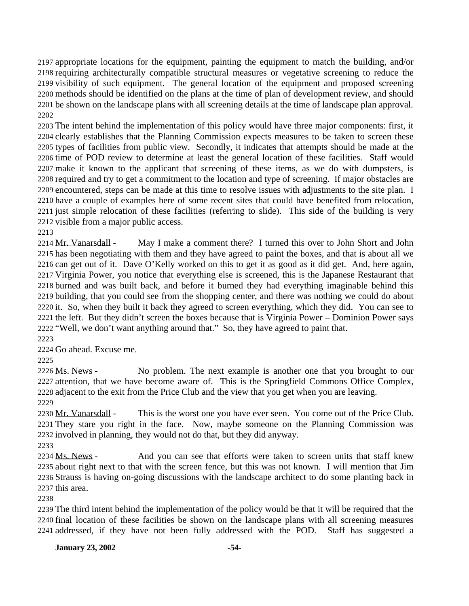appropriate locations for the equipment, painting the equipment to match the building, and/or requiring architecturally compatible structural measures or vegetative screening to reduce the visibility of such equipment. The general location of the equipment and proposed screening methods should be identified on the plans at the time of plan of development review, and should be shown on the landscape plans with all screening details at the time of landscape plan approval. 

 The intent behind the implementation of this policy would have three major components: first, it clearly establishes that the Planning Commission expects measures to be taken to screen these types of facilities from public view. Secondly, it indicates that attempts should be made at the time of POD review to determine at least the general location of these facilities. Staff would make it known to the applicant that screening of these items, as we do with dumpsters, is required and try to get a commitment to the location and type of screening. If major obstacles are encountered, steps can be made at this time to resolve issues with adjustments to the site plan. I have a couple of examples here of some recent sites that could have benefited from relocation, just simple relocation of these facilities (referring to slide). This side of the building is very visible from a major public access.

2214 Mr. Vanarsdall - May I make a comment there? I turned this over to John Short and John has been negotiating with them and they have agreed to paint the boxes, and that is about all we can get out of it. Dave O'Kelly worked on this to get it as good as it did get. And, here again, Virginia Power, you notice that everything else is screened, this is the Japanese Restaurant that burned and was built back, and before it burned they had everything imaginable behind this building, that you could see from the shopping center, and there was nothing we could do about it. So, when they built it back they agreed to screen everything, which they did. You can see to the left. But they didn't screen the boxes because that is Virginia Power – Dominion Power says "Well, we don't want anything around that." So, they have agreed to paint that.

Go ahead. Excuse me.

2226 Ms. News - No problem. The next example is another one that you brought to our attention, that we have become aware of. This is the Springfield Commons Office Complex, adjacent to the exit from the Price Club and the view that you get when you are leaving. 

2230 Mr. Vanarsdall - This is the worst one you have ever seen. You come out of the Price Club. They stare you right in the face. Now, maybe someone on the Planning Commission was involved in planning, they would not do that, but they did anyway.

2234 Ms. News - And you can see that efforts were taken to screen units that staff knew about right next to that with the screen fence, but this was not known. I will mention that Jim Strauss is having on-going discussions with the landscape architect to do some planting back in this area.

 The third intent behind the implementation of the policy would be that it will be required that the final location of these facilities be shown on the landscape plans with all screening measures addressed, if they have not been fully addressed with the POD. Staff has suggested a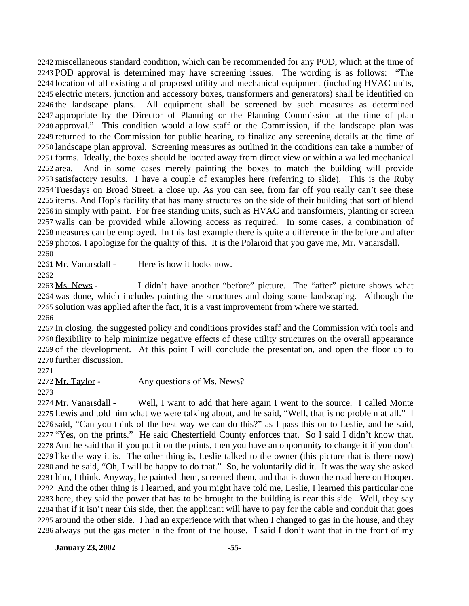miscellaneous standard condition, which can be recommended for any POD, which at the time of POD approval is determined may have screening issues. The wording is as follows: "The location of all existing and proposed utility and mechanical equipment (including HVAC units, electric meters, junction and accessory boxes, transformers and generators) shall be identified on the landscape plans. All equipment shall be screened by such measures as determined appropriate by the Director of Planning or the Planning Commission at the time of plan approval." This condition would allow staff or the Commission, if the landscape plan was returned to the Commission for public hearing, to finalize any screening details at the time of landscape plan approval. Screening measures as outlined in the conditions can take a number of forms. Ideally, the boxes should be located away from direct view or within a walled mechanical area. And in some cases merely painting the boxes to match the building will provide satisfactory results. I have a couple of examples here (referring to slide). This is the Ruby Tuesdays on Broad Street, a close up. As you can see, from far off you really can't see these items. And Hop's facility that has many structures on the side of their building that sort of blend in simply with paint. For free standing units, such as HVAC and transformers, planting or screen walls can be provided while allowing access as required. In some cases, a combination of measures can be employed. In this last example there is quite a difference in the before and after photos. I apologize for the quality of this. It is the Polaroid that you gave me, Mr. Vanarsdall. 

Mr. Vanarsdall - Here is how it looks now.

2263 Ms. News - I didn't have another "before" picture. The "after" picture shows what was done, which includes painting the structures and doing some landscaping. Although the solution was applied after the fact, it is a vast improvement from where we started. 

 In closing, the suggested policy and conditions provides staff and the Commission with tools and flexibility to help minimize negative effects of these utility structures on the overall appearance of the development. At this point I will conclude the presentation, and open the floor up to further discussion.

2272 Mr. Taylor - Any questions of Ms. News?

2274 Mr. Vanarsdall - Well, I want to add that here again I went to the source. I called Monte Lewis and told him what we were talking about, and he said, "Well, that is no problem at all." I said, "Can you think of the best way we can do this?" as I pass this on to Leslie, and he said, "Yes, on the prints." He said Chesterfield County enforces that. So I said I didn't know that. And he said that if you put it on the prints, then you have an opportunity to change it if you don't like the way it is. The other thing is, Leslie talked to the owner (this picture that is there now) and he said, "Oh, I will be happy to do that." So, he voluntarily did it. It was the way she asked him, I think. Anyway, he painted them, screened them, and that is down the road here on Hooper. And the other thing is I learned, and you might have told me, Leslie, I learned this particular one here, they said the power that has to be brought to the building is near this side. Well, they say that if it isn't near this side, then the applicant will have to pay for the cable and conduit that goes around the other side. I had an experience with that when I changed to gas in the house, and they always put the gas meter in the front of the house. I said I don't want that in the front of my

**January 23, 2002 -55-**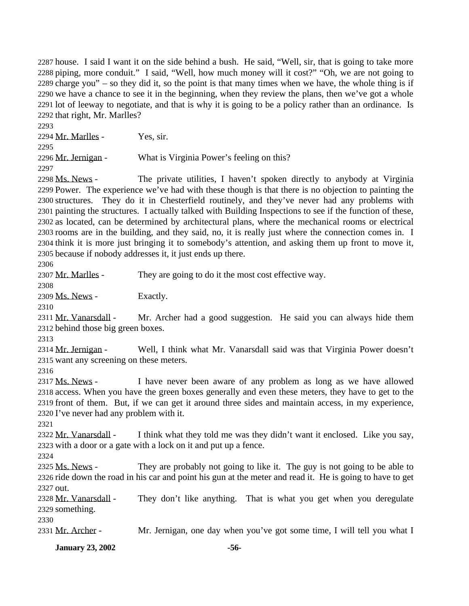house. I said I want it on the side behind a bush. He said, "Well, sir, that is going to take more piping, more conduit." I said, "Well, how much money will it cost?" "Oh, we are not going to charge you" – so they did it, so the point is that many times when we have, the whole thing is if we have a chance to see it in the beginning, when they review the plans, then we've got a whole lot of leeway to negotiate, and that is why it is going to be a policy rather than an ordinance. Is that right, Mr. Marlles?

 Mr. Marlles - Yes, sir. 2296 Mr. Jernigan - What is Virginia Power's feeling on this? 

 Ms. News - The private utilities, I haven't spoken directly to anybody at Virginia Power. The experience we've had with these though is that there is no objection to painting the structures. They do it in Chesterfield routinely, and they've never had any problems with painting the structures. I actually talked with Building Inspections to see if the function of these, as located, can be determined by architectural plans, where the mechanical rooms or electrical rooms are in the building, and they said, no, it is really just where the connection comes in. I think it is more just bringing it to somebody's attention, and asking them up front to move it, because if nobody addresses it, it just ends up there.

2307 Mr. Marlles - They are going to do it the most cost effective way.

2309 Ms. News - Exactly.

2311 Mr. Vanarsdall - Mr. Archer had a good suggestion. He said you can always hide them behind those big green boxes.

 Mr. Jernigan - Well, I think what Mr. Vanarsdall said was that Virginia Power doesn't want any screening on these meters.

 Ms. News - I have never been aware of any problem as long as we have allowed access. When you have the green boxes generally and even these meters, they have to get to the front of them. But, if we can get it around three sides and maintain access, in my experience, I've never had any problem with it.

2322 Mr. Vanarsdall - I think what they told me was they didn't want it enclosed. Like you say, with a door or a gate with a lock on it and put up a fence.

2325 Ms. News - They are probably not going to like it. The guy is not going to be able to ride down the road in his car and point his gun at the meter and read it. He is going to have to get out.

2328 Mr. Vanarsdall - They don't like anything. That is what you get when you deregulate something.

2331 Mr. Archer - Mr. Jernigan, one day when you've got some time, I will tell you what I

**January 23, 2002 -56-**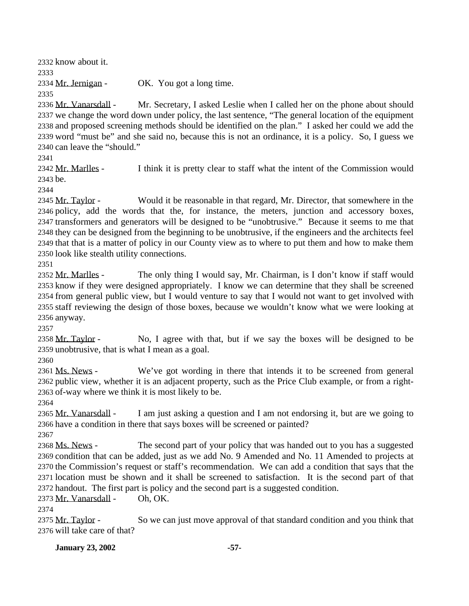know about it. 2334 Mr. Jernigan - OK. You got a long time. 2336 Mr. Vanarsdall - Mr. Secretary, I asked Leslie when I called her on the phone about should

 we change the word down under policy, the last sentence, "The general location of the equipment and proposed screening methods should be identified on the plan." I asked her could we add the word "must be" and she said no, because this is not an ordinance, it is a policy. So, I guess we can leave the "should."

2342 Mr. Marlles - I think it is pretty clear to staff what the intent of the Commission would be.

2345 Mr. Taylor - Would it be reasonable in that regard, Mr. Director, that somewhere in the policy, add the words that the, for instance, the meters, junction and accessory boxes, transformers and generators will be designed to be "unobtrusive." Because it seems to me that they can be designed from the beginning to be unobtrusive, if the engineers and the architects feel that that is a matter of policy in our County view as to where to put them and how to make them look like stealth utility connections.

2352 Mr. Marlles - The only thing I would say, Mr. Chairman, is I don't know if staff would know if they were designed appropriately. I know we can determine that they shall be screened from general public view, but I would venture to say that I would not want to get involved with staff reviewing the design of those boxes, because we wouldn't know what we were looking at anyway.

2358 Mr. Taylor - No, I agree with that, but if we say the boxes will be designed to be unobtrusive, that is what I mean as a goal.

 Ms. News - We've got wording in there that intends it to be screened from general public view, whether it is an adjacent property, such as the Price Club example, or from a right-of-way where we think it is most likely to be.

2365 Mr. Vanarsdall - I am just asking a question and I am not endorsing it, but are we going to have a condition in there that says boxes will be screened or painted? 

2368 Ms. News - The second part of your policy that was handed out to you has a suggested condition that can be added, just as we add No. 9 Amended and No. 11 Amended to projects at the Commission's request or staff's recommendation. We can add a condition that says that the location must be shown and it shall be screened to satisfaction. It is the second part of that handout. The first part is policy and the second part is a suggested condition.

Mr. Vanarsdall - Oh, OK.

2375 Mr. Taylor - So we can just move approval of that standard condition and you think that will take care of that?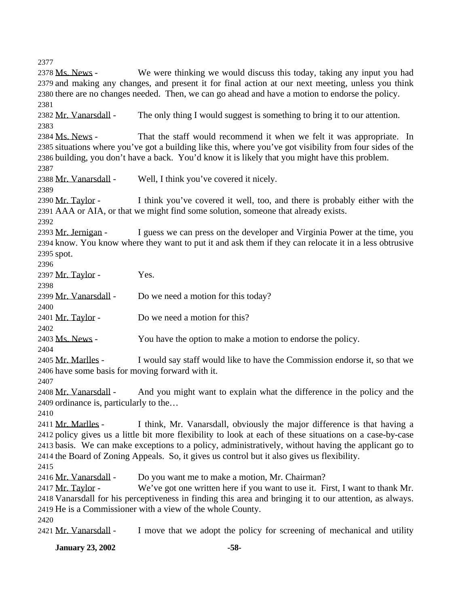2378 Ms. News - We were thinking we would discuss this today, taking any input you had and making any changes, and present it for final action at our next meeting, unless you think there are no changes needed. Then, we can go ahead and have a motion to endorse the policy. 2382 Mr. Vanarsdall - The only thing I would suggest is something to bring it to our attention. Ms. News - That the staff would recommend it when we felt it was appropriate. In situations where you've got a building like this, where you've got visibility from four sides of the building, you don't have a back. You'd know it is likely that you might have this problem. Mr. Vanarsdall - Well, I think you've covered it nicely. 2390 Mr. Taylor - I think you've covered it well, too, and there is probably either with the AAA or AIA, or that we might find some solution, someone that already exists. 2393 Mr. Jernigan - I guess we can press on the developer and Virginia Power at the time, you know. You know where they want to put it and ask them if they can relocate it in a less obtrusive spot. 2397 Mr. Taylor - Yes. Mr. Vanarsdall - Do we need a motion for this today? 2401 Mr. Taylor - Do we need a motion for this? 2403 Ms. News - You have the option to make a motion to endorse the policy. 2405 Mr. Marlles - I would say staff would like to have the Commission endorse it, so that we have some basis for moving forward with it. Mr. Vanarsdall - And you might want to explain what the difference in the policy and the ordinance is, particularly to the… 2411 Mr. Marlles - I think, Mr. Vanarsdall, obviously the major difference is that having a policy gives us a little bit more flexibility to look at each of these situations on a case-by-case basis. We can make exceptions to a policy, administratively, without having the applicant go to the Board of Zoning Appeals. So, it gives us control but it also gives us flexibility. 2416 Mr. Vanarsdall - Do you want me to make a motion, Mr. Chairman? 2417 Mr. Taylor - We've got one written here if you want to use it. First, I want to thank Mr. Vanarsdall for his perceptiveness in finding this area and bringing it to our attention, as always. He is a Commissioner with a view of the whole County. 2421 Mr. Vanarsdall - I move that we adopt the policy for screening of mechanical and utility

**January 23, 2002 -58-**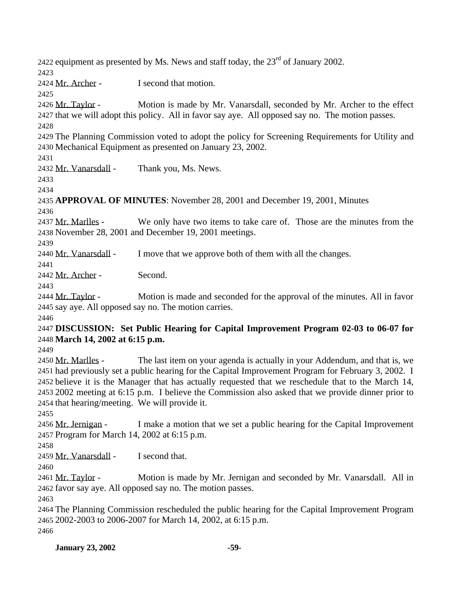2422 equipment as presented by Ms. News and staff today, the  $23<sup>rd</sup>$  of January 2002. Mr. Archer - I second that motion. 2426 Mr. Taylor - Motion is made by Mr. Vanarsdall, seconded by Mr. Archer to the effect that we will adopt this policy. All in favor say aye. All opposed say no. The motion passes. The Planning Commission voted to adopt the policy for Screening Requirements for Utility and Mechanical Equipment as presented on January 23, 2002. 2432 Mr. Vanarsdall - Thank you, Ms. News. **APPROVAL OF MINUTES**: November 28, 2001 and December 19, 2001, Minutes 2437 Mr. Marlles - We only have two items to take care of. Those are the minutes from the November 28, 2001 and December 19, 2001 meetings. 2440 Mr. Vanarsdall - I move that we approve both of them with all the changes. Mr. Archer - Second. Mr. Taylor - Motion is made and seconded for the approval of the minutes. All in favor say aye. All opposed say no. The motion carries. **DISCUSSION: Set Public Hearing for Capital Improvement Program 02-03 to 06-07 for March 14, 2002 at 6:15 p.m.** 2450 Mr. Marlles - The last item on your agenda is actually in your Addendum, and that is, we had previously set a public hearing for the Capital Improvement Program for February 3, 2002. I believe it is the Manager that has actually requested that we reschedule that to the March 14, 2002 meeting at 6:15 p.m. I believe the Commission also asked that we provide dinner prior to that hearing/meeting. We will provide it. 2456 Mr. Jernigan - I make a motion that we set a public hearing for the Capital Improvement Program for March 14, 2002 at 6:15 p.m. 2459 Mr. Vanarsdall - I second that. 2461 Mr. Taylor - Motion is made by Mr. Jernigan and seconded by Mr. Vanarsdall. All in favor say aye. All opposed say no. The motion passes. The Planning Commission rescheduled the public hearing for the Capital Improvement Program 2002-2003 to 2006-2007 for March 14, 2002, at 6:15 p.m.